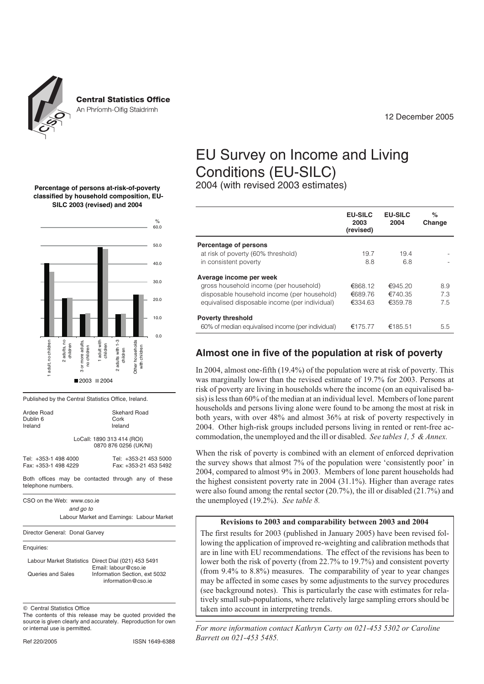

**Central Statistics Office** 

An Phríomh-Oifig Staidrimh

12 December 2005

# EU Survey on Income and Living Conditions (EU-SILC)

2004 (with revised 2003 estimates)

|                                                                                                                                                                    | <b>EU-SILC</b><br>2003<br>(revised) | <b>EU-SILC</b><br>2004        | %<br>Change      |
|--------------------------------------------------------------------------------------------------------------------------------------------------------------------|-------------------------------------|-------------------------------|------------------|
| Percentage of persons<br>at risk of poverty (60% threshold)<br>in consistent poverty                                                                               | 19.7<br>8.8                         | 19.4<br>6.8                   |                  |
| Average income per week<br>gross household income (per household)<br>disposable household income (per household)<br>equivalised disposable income (per individual) | €868.12<br>€689.76<br>€334.63       | €945.20<br>€740.35<br>€359.78 | 8.9<br>73<br>7.5 |
| <b>Poverty threshold</b><br>60% of median equivalised income (per individual)                                                                                      | €175.77                             | €185.51                       | 5.5              |

# **Almost one in five of the population at risk of poverty**

In 2004, almost one-fifth (19.4%) of the population were at risk of poverty. This was marginally lower than the revised estimate of 19.7% for 2003. Persons at risk of poverty are living in households where the income (on an equivalised basis) is less than 60% of the median at an individual level. Members of lone parent households and persons living alone were found to be among the most at risk in both years, with over 48% and almost 36% at risk of poverty respectively in 2004. Other high-risk groups included persons living in rented or rent-free accommodation, the unemployed and the ill or disabled. *See tables 1, 5 & Annex.*

When the risk of poverty is combined with an element of enforced deprivation the survey shows that almost 7% of the population were 'consistently poor' in 2004, compared to almost 9% in 2003. Members of lone parent households had the highest consistent poverty rate in 2004 (31.1%). Higher than average rates were also found among the rental sector (20.7%), the ill or disabled (21.7%) and the unemployed (19.2%). *See table 8.*

#### **Revisions to 2003 and comparability between 2003 and 2004**

The first results for 2003 (published in January 2005) have been revised following the application of improved re-weighting and calibration methods that are in line with EU recommendations. The effect of the revisions has been to lower both the risk of poverty (from 22.7% to 19.7%) and consistent poverty (from 9.4% to 8.8%) measures. The comparability of year to year changes may be affected in some cases by some adjustments to the survey procedures (see background notes). This is particularly the case with estimates for relatively small sub-populations, where relatively large sampling errors should be taken into account in interpreting trends.

#### **Percentage of persons at-risk-of-poverty classified by household composition, EU-SILC 2003 (revised) and 2004**



Published by the Central Statistics Office, Ireland.

| Ardee Road<br>Dublin 6<br>Ireland                                        |                                                     | Skehard Road<br>Cork<br>Ireland                |  |  |  |  |  |  |
|--------------------------------------------------------------------------|-----------------------------------------------------|------------------------------------------------|--|--|--|--|--|--|
|                                                                          | LoCall: 1890 313 414 (ROI)<br>0870 876 0256 (UK/NI) |                                                |  |  |  |  |  |  |
| Tel: +353-1 498 4000<br>Fax: +353-1 498 4229                             |                                                     | Tel: +353-21 453 5000<br>Fax: +353-21 453 5492 |  |  |  |  |  |  |
| Both offices may be contacted through any of these<br>telephone numbers. |                                                     |                                                |  |  |  |  |  |  |
| CSO on the Web: www.cso.ie                                               |                                                     |                                                |  |  |  |  |  |  |

*and go to* Labour Market and Earnings: Labour Market

Director General: Donal Garvey

Enquiries:

|                   | Labour Market Statistics Direct Dial (021) 453 5491 |
|-------------------|-----------------------------------------------------|
|                   | Email: labour@cso.ie                                |
| Queries and Sales | Information Section, ext 5032                       |
|                   | information@cso.ie                                  |

 $©$  Central Statistics Office

The contents of this release may be quoted provided the source is given clearly and accurately. Reproduction for own or internal use is permitted.

*For more information contact Kathryn Carty on 021-453 5302 or Caroline Barrett on 021-453 5485.*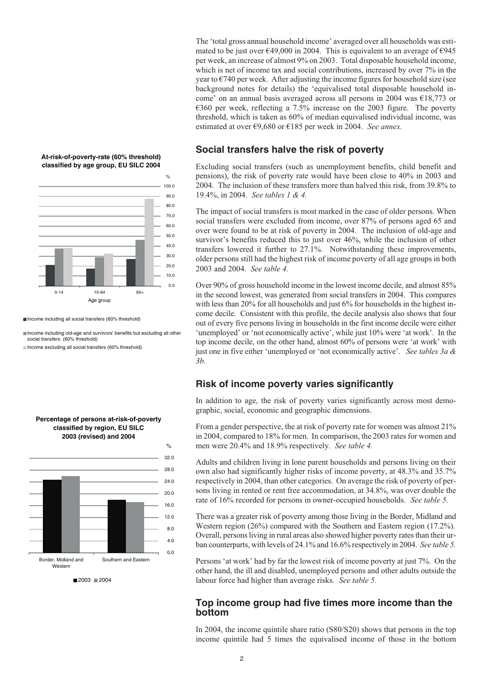

**At-risk-of-poverty-rate (60% threshold) classified by age group, EU SILC 2004**

Income including all social transfers (60% threshold)

Income including old-age and survivors' benefits but excluding all other social transfers (60% threshold) Income excluding all social transfers (60% threshold)



**Percentage of persons at-risk-of-poverty classified by region, EU SILC 2003 (revised) and 2004**

The 'total gross annual household income' averaged over all households was estimated to be just over  $\epsilon$ 49,000 in 2004. This is equivalent to an average of  $\epsilon$ 945 per week, an increase of almost 9% on 2003. Total disposable household income, which is net of income tax and social contributions, increased by over 7% in the year to  $\epsilon$ 740 per week. After adjusting the income figures for household size (see background notes for details) the 'equivalised total disposable household income' on an annual basis averaged across all persons in 2004 was €18,773 or €360 per week, reflecting a 7.5% increase on the 2003 figure. The poverty threshold, which is taken as 60% of median equivalised individual income, was estimated at over €9,680 or €185 per week in 2004. *See annex.*

## **Social transfers halve the risk of poverty**

Excluding social transfers (such as unemployment benefits, child benefit and pensions), the risk of poverty rate would have been close to 40% in 2003 and 2004. The inclusion of these transfers more than halved this risk, from 39.8% to 19.4%, in 2004. *See tables 1 & 4.*

The impact of social transfers is most marked in the case of older persons. When social transfers were excluded from income, over 87% of persons aged 65 and over were found to be at risk of poverty in 2004. The inclusion of old-age and survivor's benefits reduced this to just over 46%, while the inclusion of other transfers lowered it further to 27.1%. Notwithstanding these improvements, older persons still had the highest risk of income poverty of all age groups in both 2003 and 2004. *See table 4.*

Over 90% of gross household income in the lowest income decile, and almost 85% in the second lowest, was generated from social transfers in 2004. This compares with less than 20% for all households and just 6% for households in the highest income decile. Consistent with this profile, the decile analysis also shows that four out of every five persons living in households in the first income decile were either 'unemployed' or 'not economically active', while just 10% were 'at work'. In the top income decile, on the other hand, almost 60% of persons were 'at work' with just one in five either 'unemployed or 'not economically active'. *See tables 3a & 3b.*

## **Risk of income poverty varies significantly**

In addition to age, the risk of poverty varies significantly across most demographic, social, economic and geographic dimensions.

From a gender perspective, the at risk of poverty rate for women was almost 21% in 2004, compared to 18% for men. In comparison, the 2003 rates for women and men were 20.4% and 18.9% respectively. *See table 4.*

Adults and children living in lone parent households and persons living on their own also had significantly higher risks of income poverty, at 48.3% and 35.7% respectively in 2004, than other categories. On average the risk of poverty of persons living in rented or rent free accommodation, at 34.8%, was over double the rate of 16% recorded for persons in owner-occupied households. *See table 5.*

There was a greater risk of poverty among those living in the Border, Midland and Western region (26%) compared with the Southern and Eastern region (17.2%). Overall, persons living in rural areas also showed higher poverty rates than their urban counterparts, with levels of 24.1% and 16.6% respectively in 2004. *See table 5.*

Persons 'at work' had by far the lowest risk of income poverty at just 7%. On the other hand, the ill and disabled, unemployed persons and other adults outside the labour force had higher than average risks. *See table 5.*

## **Top income group had five times more income than the bottom**

In 2004, the income quintile share ratio (S80/S20) shows that persons in the top income quintile had 5 times the equivalised income of those in the bottom

 $2003 \equiv 2004$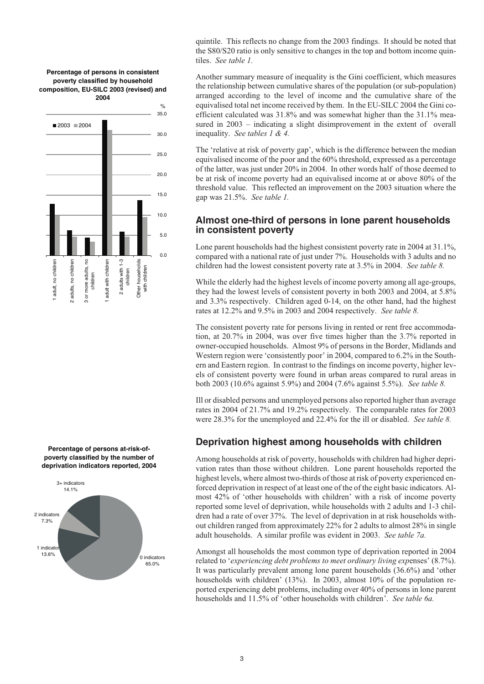**Percentage of persons in consistent poverty classified by household composition, EU-SILC 2003 (revised) and 2004**



**Percentage of persons at-risk-ofpoverty classified by the number of deprivation indicators reported, 2004**



quintile. This reflects no change from the 2003 findings. It should be noted that the S80/S20 ratio is only sensitive to changes in the top and bottom income quintiles. *See table 1.*

Another summary measure of inequality is the Gini coefficient, which measures the relationship between cumulative shares of the population (or sub-population) arranged according to the level of income and the cumulative share of the equivalised total net income received by them. In the EU-SILC 2004 the Gini coefficient calculated was 31.8% and was somewhat higher than the 31.1% measured in 2003 – indicating a slight disimprovement in the extent of overall inequality. *See tables 1 & 4.*

The 'relative at risk of poverty gap', which is the difference between the median equivalised income of the poor and the 60% threshold, expressed as a percentage of the latter, was just under 20% in 2004. In other words half of those deemed to be at risk of income poverty had an equivalised income at or above 80% of the threshold value. This reflected an improvement on the 2003 situation where the gap was 21.5%. *See table 1.*

# **Almost one-third of persons in lone parent households in consistent poverty**

Lone parent households had the highest consistent poverty rate in 2004 at 31.1%, compared with a national rate of just under 7%. Households with 3 adults and no children had the lowest consistent poverty rate at 3.5% in 2004. *See table 8.*

While the elderly had the highest levels of income poverty among all age-groups, they had the lowest levels of consistent poverty in both 2003 and 2004, at 5.8% and 3.3% respectively. Children aged 0-14, on the other hand, had the highest rates at 12.2% and 9.5% in 2003 and 2004 respectively. *See table 8.*

The consistent poverty rate for persons living in rented or rent free accommodation, at 20.7% in 2004, was over five times higher than the 3.7% reported in owner-occupied households. Almost 9% of persons in the Border, Midlands and Western region were 'consistently poor' in 2004, compared to 6.2% in the Southern and Eastern region. In contrast to the findings on income poverty, higher levels of consistent poverty were found in urban areas compared to rural areas in both 2003 (10.6% against 5.9%) and 2004 (7.6% against 5.5%). *See table 8.*

Ill or disabled persons and unemployed persons also reported higher than average rates in 2004 of 21.7% and 19.2% respectively. The comparable rates for 2003 were 28.3% for the unemployed and 22.4% for the ill or disabled. *See table 8.*

# **Deprivation highest among households with children**

Among households at risk of poverty, households with children had higher deprivation rates than those without children. Lone parent households reported the highest levels, where almost two-thirds of those at risk of poverty experienced enforced deprivation in respect of at least one of the of the eight basic indicators. Almost 42% of 'other households with children' with a risk of income poverty reported some level of deprivation, while households with 2 adults and 1-3 children had a rate of over 37%. The level of deprivation in at risk households without children ranged from approximately 22% for 2 adults to almost 28% in single adult households. A similar profile was evident in 2003. *See table 7a.*

Amongst all households the most common type of deprivation reported in 2004 related to '*experiencing debt problems to meet ordinary living exp*enses' (8.7%). It was particularly prevalent among lone parent households (36.6%) and 'other households with children' (13%). In 2003, almost 10% of the population reported experiencing debt problems, including over 40% of persons in lone parent households and 11.5% of 'other households with children'. *See table 6a.*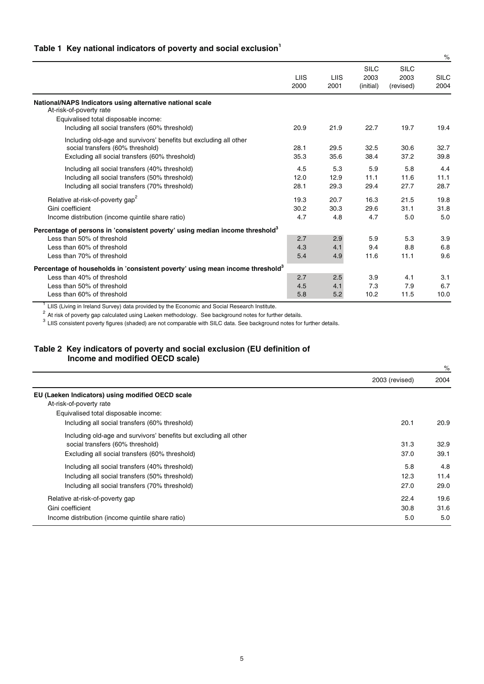# **Table 1 Key national indicators of poverty and social exclusion<sup>1</sup>**

|                                                                                           |                     |              |                                  |                                  | $\%$                |
|-------------------------------------------------------------------------------------------|---------------------|--------------|----------------------------------|----------------------------------|---------------------|
|                                                                                           | <b>LIIS</b><br>2000 | LIIS<br>2001 | <b>SILC</b><br>2003<br>(initial) | <b>SILC</b><br>2003<br>(revised) | <b>SILC</b><br>2004 |
| National/NAPS Indicators using alternative national scale<br>At-risk-of-poverty rate      |                     |              |                                  |                                  |                     |
| Equivalised total disposable income:                                                      |                     |              |                                  |                                  |                     |
| Including all social transfers (60% threshold)                                            | 20.9                | 21.9         | 22.7                             | 19.7                             | 19.4                |
| Including old-age and survivors' benefits but excluding all other                         |                     |              |                                  |                                  |                     |
| social transfers (60% threshold)                                                          | 28.1                | 29.5         | 32.5                             | 30.6                             | 32.7                |
| Excluding all social transfers (60% threshold)                                            | 35.3                | 35.6         | 38.4                             | 37.2                             | 39.8                |
| Including all social transfers (40% threshold)                                            | 4.5                 | 5.3          | 5.9                              | 5.8                              | 4.4                 |
| Including all social transfers (50% threshold)                                            | 12.0                | 12.9         | 11.1                             | 11.6                             | 11.1                |
| Including all social transfers (70% threshold)                                            | 28.1                | 29.3         | 29.4                             | 27.7                             | 28.7                |
| Relative at-risk-of-poverty gap <sup>2</sup>                                              | 19.3                | 20.7         | 16.3                             | 21.5                             | 19.8                |
| Gini coefficient                                                                          | 30.2                | 30.3         | 29.6                             | 31.1                             | 31.8                |
| Income distribution (income quintile share ratio)                                         | 4.7                 | 4.8          | 4.7                              | 5.0                              | 5.0                 |
| Percentage of persons in 'consistent poverty' using median income threshold'              |                     |              |                                  |                                  |                     |
| Less than 50% of threshold                                                                | 2.7                 | 2.9          | 5.9                              | 5.3                              | 3.9                 |
| Less than 60% of threshold                                                                | 4.3                 | 4.1          | 9.4                              | 8.8                              | 6.8                 |
| Less than 70% of threshold                                                                | 5.4                 | 4.9          | 11.6                             | 11.1                             | 9.6                 |
| Percentage of households in 'consistent poverty' using mean income threshold <sup>3</sup> |                     |              |                                  |                                  |                     |
| Less than 40% of threshold                                                                | 2.7                 | 2.5          | 3.9                              | 4.1                              | 3.1                 |
| Less than 50% of threshold                                                                | 4.5                 | 4.1          | 7.3                              | 7.9                              | 6.7                 |
| Less than 60% of threshold                                                                | 5.8                 | 5.2          | 10.2                             | 11.5                             | 10.0                |

 $<sup>1</sup>$  LIIS (Living in Ireland Survey) data provided by the Economic and Social Research Institute.</sup>

 $^2$  At risk of poverty gap calculated using Laeken methodology. See background notes for further details.

 $^3$  LIIS consistent poverty figures (shaded) are not comparable with SILC data. See background notes for further details.

## **Table 2 Key indicators of poverty and social exclusion (EU definition of Income and modified OECD scale)**

|                                                                   | 2003 (revised) | 2004 |
|-------------------------------------------------------------------|----------------|------|
| EU (Laeken Indicators) using modified OECD scale                  |                |      |
| At-risk-of-poverty rate                                           |                |      |
| Equivalised total disposable income:                              |                |      |
| Including all social transfers (60% threshold)                    | 20.1           | 20.9 |
| Including old-age and survivors' benefits but excluding all other |                |      |
| social transfers (60% threshold)                                  | 31.3           | 32.9 |
| Excluding all social transfers (60% threshold)                    | 37.0           | 39.1 |
| Including all social transfers (40% threshold)                    | 5.8            | 4.8  |
| Including all social transfers (50% threshold)                    | 12.3           | 11.4 |
| Including all social transfers (70% threshold)                    | 27.0           | 29.0 |
| Relative at-risk-of-poverty gap                                   | 22.4           | 19.6 |
| Gini coefficient                                                  | 30.8           | 31.6 |
| Income distribution (income quintile share ratio)                 | 5.0            | 5.0  |

%

5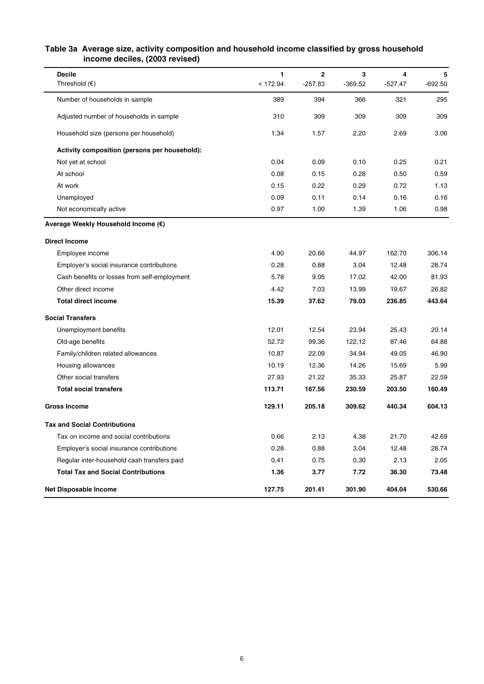### **Table 3a Average size, activity composition and household income classified by gross household income deciles, (2003 revised)**

| <b>Decile</b>                                 | 1        | $\overline{2}$ | 3         | 4         | 5         |
|-----------------------------------------------|----------|----------------|-----------|-----------|-----------|
| Threshold $(\epsilon)$                        | < 172.94 | $-257.83$      | $-369.52$ | $-527.47$ | $-692.50$ |
| Number of households in sample                | 389      | 394            | 366       | 321       | 295       |
| Adjusted number of households in sample       | 310      | 309            | 309       | 309       | 309       |
| Household size (persons per household)        | 1.34     | 1.57           | 2.20      | 2.69      | 3.06      |
| Activity composition (persons per household): |          |                |           |           |           |
| Not yet at school                             | 0.04     | 0.09           | 0.10      | 0.25      | 0.21      |
| At school                                     | 0.08     | 0.15           | 0.28      | 0.50      | 0.59      |
| At work                                       | 0.15     | 0.22           | 0.29      | 0.72      | 1.13      |
| Unemployed                                    | 0.09     | 0.11           | 0.14      | 0.16      | 0.16      |
| Not economically active                       | 0.97     | 1.00           | 1.39      | 1.06      | 0.98      |
| Average Weekly Household Income (€)           |          |                |           |           |           |
| <b>Direct Income</b>                          |          |                |           |           |           |
| Employee income                               | 4.90     | 20.66          | 44.97     | 162.70    | 306.14    |
| Employer's social insurance contributions     | 0.28     | 0.88           | 3.04      | 12.48     | 28.74     |
| Cash benefits or losses from self-employment  | 5.78     | 9.05           | 17.02     | 42.00     | 81.93     |
| Other direct income                           | 4.42     | 7.03           | 13.99     | 19.67     | 26.82     |
| <b>Total direct income</b>                    | 15.39    | 37.62          | 79.03     | 236.85    | 443.64    |
| <b>Social Transfers</b>                       |          |                |           |           |           |
| Unemployment benefits                         | 12.01    | 12.54          | 23.94     | 25.43     | 20.14     |
| Old-age benefits                              | 52.72    | 99.36          | 122.12    | 87.46     | 64.88     |
| Family/children related allowances            | 10.87    | 22.09          | 34.94     | 49.05     | 46.90     |
| Housing allowances                            | 10.19    | 12.36          | 14.26     | 15.69     | 5.99      |
| Other social transfers                        | 27.93    | 21.22          | 35.33     | 25.87     | 22.59     |
| <b>Total social transfers</b>                 | 113.71   | 167.56         | 230.59    | 203.50    | 160.49    |
| <b>Gross Income</b>                           | 129.11   | 205.18         | 309.62    | 440.34    | 604.13    |
| <b>Tax and Social Contributions</b>           |          |                |           |           |           |
| Tax on income and social contributions        | 0.66     | 2.13           | 4.38      | 21.70     | 42.69     |
| Employer's social insurance contributions     | 0.28     | 0.88           | 3.04      | 12.48     | 28.74     |
| Regular inter-household cash transfers paid   | 0.41     | 0.75           | 0.30      | 2.13      | 2.05      |
| <b>Total Tax and Social Contributions</b>     | 1.36     | 3.77           | 7.72      | 36.30     | 73.48     |
| <b>Net Disposable Income</b>                  | 127.75   | 201.41         | 301.90    | 404.04    | 530.66    |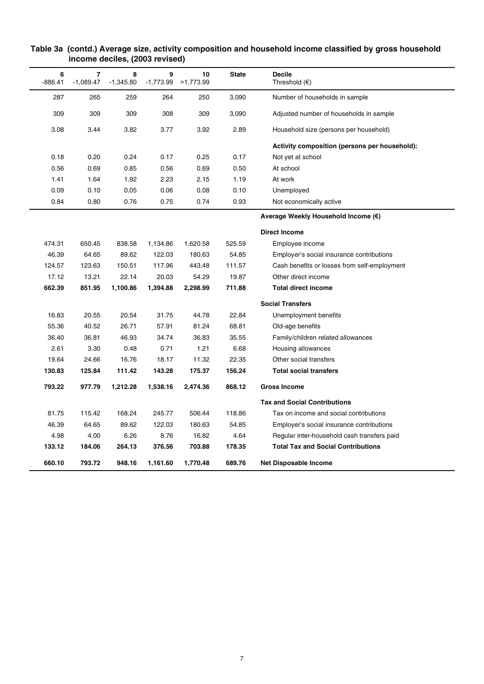| 6<br>7<br>8<br>9<br>10<br><b>State</b><br><b>Decile</b><br>$-1,089.47$<br>$-1,773.99$<br>Threshold $(\epsilon)$<br>$-886.41$<br>$-1,345.80$<br>>1,773.99<br>287<br>265<br>259<br>264<br>250<br>3,090<br>Number of households in sample<br>309<br>309<br>309<br>308<br>309<br>3,090<br>Adjusted number of households in sample<br>3.77<br>3.08<br>3.44<br>3.82<br>3.92<br>2.89<br>Household size (persons per household)<br>0.17<br>0.18<br>0.20<br>0.24<br>0.17<br>0.25<br>Not yet at school<br>0.56<br>0.69<br>0.85<br>0.56<br>0.69<br>0.50<br>At school<br>1.41<br>1.64<br>1.92<br>2.23<br>1.19<br>At work<br>2.15<br>0.09<br>0.10<br>0.05<br>0.06<br>0.10<br>0.08<br>Unemployed<br>0.84<br>0.80<br>0.76<br>0.75<br>0.74<br>0.93<br>Not economically active<br>Average Weekly Household Income (€)<br><b>Direct Income</b><br>474.31<br>650.45<br>838.58<br>1,134.86<br>1,620.58<br>525.59<br>Employee income<br>46.39<br>64.65<br>89.62<br>122.03<br>180.63<br>54.85<br>Employer's social insurance contributions<br>124.57<br>123.63<br>117.96<br>150.51<br>443.48<br>111.57<br>Cash benefits or losses from self-employment<br>17.12<br>22.14<br>19.87<br>13.21<br>20.03<br>54.29<br>Other direct income<br>662.39<br>851.95<br>1,100.86<br>1,394.88<br>2,298.99<br>711.88<br><b>Total direct income</b><br><b>Social Transfers</b><br>16.83<br>20.55<br>20.54<br>31.75<br>44.78<br>22.84<br>Unemployment benefits<br>55.36<br>40.52<br>26.71<br>57.91<br>81.24<br>68.81<br>Old-age benefits<br>36.81<br>36.40<br>46.93<br>34.74<br>36.83<br>35.55<br>Family/children related allowances<br>2.61<br>3.30<br>0.48<br>0.71<br>1.21<br>6.68<br>Housing allowances<br>22.35<br>Other social transfers<br>19.64<br>24.66<br>16.76<br>18.17<br>11.32<br>130.83<br>125.84<br>143.28<br>175.37<br>156.24<br><b>Total social transfers</b><br>111.42<br>793.22<br>868.12<br>977.79<br>1,212.28<br>1,538.16<br>2,474.36<br><b>Gross Income</b><br><b>Tax and Social Contributions</b><br>81.75<br>115.42<br>168.24<br>118.86<br>245.77<br>506.44<br>Tax on income and social contributions<br>46.39<br>64.65<br>89.62<br>122.03<br>180.63<br>54.85<br>Employer's social insurance contributions<br>4.98<br>4.00<br>6.26<br>8.76<br>16.82<br>4.64<br>Regular inter-household cash transfers paid<br>133.12<br>178.35<br><b>Total Tax and Social Contributions</b><br>184.06<br>264.13<br>376.56<br>703.88<br>660.10<br>793.72<br>948.16<br>1,161.60<br>1,770.48<br>689.76<br><b>Net Disposable Income</b> |  |  |  |                                               |
|-----------------------------------------------------------------------------------------------------------------------------------------------------------------------------------------------------------------------------------------------------------------------------------------------------------------------------------------------------------------------------------------------------------------------------------------------------------------------------------------------------------------------------------------------------------------------------------------------------------------------------------------------------------------------------------------------------------------------------------------------------------------------------------------------------------------------------------------------------------------------------------------------------------------------------------------------------------------------------------------------------------------------------------------------------------------------------------------------------------------------------------------------------------------------------------------------------------------------------------------------------------------------------------------------------------------------------------------------------------------------------------------------------------------------------------------------------------------------------------------------------------------------------------------------------------------------------------------------------------------------------------------------------------------------------------------------------------------------------------------------------------------------------------------------------------------------------------------------------------------------------------------------------------------------------------------------------------------------------------------------------------------------------------------------------------------------------------------------------------------------------------------------------------------------------------------------------------------------------------------------------------------------------------------------------------------------------------------------------------------------------------------------------------------------------------------------------------------------------------------------------|--|--|--|-----------------------------------------------|
|                                                                                                                                                                                                                                                                                                                                                                                                                                                                                                                                                                                                                                                                                                                                                                                                                                                                                                                                                                                                                                                                                                                                                                                                                                                                                                                                                                                                                                                                                                                                                                                                                                                                                                                                                                                                                                                                                                                                                                                                                                                                                                                                                                                                                                                                                                                                                                                                                                                                                                     |  |  |  |                                               |
|                                                                                                                                                                                                                                                                                                                                                                                                                                                                                                                                                                                                                                                                                                                                                                                                                                                                                                                                                                                                                                                                                                                                                                                                                                                                                                                                                                                                                                                                                                                                                                                                                                                                                                                                                                                                                                                                                                                                                                                                                                                                                                                                                                                                                                                                                                                                                                                                                                                                                                     |  |  |  |                                               |
|                                                                                                                                                                                                                                                                                                                                                                                                                                                                                                                                                                                                                                                                                                                                                                                                                                                                                                                                                                                                                                                                                                                                                                                                                                                                                                                                                                                                                                                                                                                                                                                                                                                                                                                                                                                                                                                                                                                                                                                                                                                                                                                                                                                                                                                                                                                                                                                                                                                                                                     |  |  |  |                                               |
|                                                                                                                                                                                                                                                                                                                                                                                                                                                                                                                                                                                                                                                                                                                                                                                                                                                                                                                                                                                                                                                                                                                                                                                                                                                                                                                                                                                                                                                                                                                                                                                                                                                                                                                                                                                                                                                                                                                                                                                                                                                                                                                                                                                                                                                                                                                                                                                                                                                                                                     |  |  |  |                                               |
|                                                                                                                                                                                                                                                                                                                                                                                                                                                                                                                                                                                                                                                                                                                                                                                                                                                                                                                                                                                                                                                                                                                                                                                                                                                                                                                                                                                                                                                                                                                                                                                                                                                                                                                                                                                                                                                                                                                                                                                                                                                                                                                                                                                                                                                                                                                                                                                                                                                                                                     |  |  |  | Activity composition (persons per household): |
|                                                                                                                                                                                                                                                                                                                                                                                                                                                                                                                                                                                                                                                                                                                                                                                                                                                                                                                                                                                                                                                                                                                                                                                                                                                                                                                                                                                                                                                                                                                                                                                                                                                                                                                                                                                                                                                                                                                                                                                                                                                                                                                                                                                                                                                                                                                                                                                                                                                                                                     |  |  |  |                                               |
|                                                                                                                                                                                                                                                                                                                                                                                                                                                                                                                                                                                                                                                                                                                                                                                                                                                                                                                                                                                                                                                                                                                                                                                                                                                                                                                                                                                                                                                                                                                                                                                                                                                                                                                                                                                                                                                                                                                                                                                                                                                                                                                                                                                                                                                                                                                                                                                                                                                                                                     |  |  |  |                                               |
|                                                                                                                                                                                                                                                                                                                                                                                                                                                                                                                                                                                                                                                                                                                                                                                                                                                                                                                                                                                                                                                                                                                                                                                                                                                                                                                                                                                                                                                                                                                                                                                                                                                                                                                                                                                                                                                                                                                                                                                                                                                                                                                                                                                                                                                                                                                                                                                                                                                                                                     |  |  |  |                                               |
|                                                                                                                                                                                                                                                                                                                                                                                                                                                                                                                                                                                                                                                                                                                                                                                                                                                                                                                                                                                                                                                                                                                                                                                                                                                                                                                                                                                                                                                                                                                                                                                                                                                                                                                                                                                                                                                                                                                                                                                                                                                                                                                                                                                                                                                                                                                                                                                                                                                                                                     |  |  |  |                                               |
|                                                                                                                                                                                                                                                                                                                                                                                                                                                                                                                                                                                                                                                                                                                                                                                                                                                                                                                                                                                                                                                                                                                                                                                                                                                                                                                                                                                                                                                                                                                                                                                                                                                                                                                                                                                                                                                                                                                                                                                                                                                                                                                                                                                                                                                                                                                                                                                                                                                                                                     |  |  |  |                                               |
|                                                                                                                                                                                                                                                                                                                                                                                                                                                                                                                                                                                                                                                                                                                                                                                                                                                                                                                                                                                                                                                                                                                                                                                                                                                                                                                                                                                                                                                                                                                                                                                                                                                                                                                                                                                                                                                                                                                                                                                                                                                                                                                                                                                                                                                                                                                                                                                                                                                                                                     |  |  |  |                                               |
|                                                                                                                                                                                                                                                                                                                                                                                                                                                                                                                                                                                                                                                                                                                                                                                                                                                                                                                                                                                                                                                                                                                                                                                                                                                                                                                                                                                                                                                                                                                                                                                                                                                                                                                                                                                                                                                                                                                                                                                                                                                                                                                                                                                                                                                                                                                                                                                                                                                                                                     |  |  |  |                                               |
|                                                                                                                                                                                                                                                                                                                                                                                                                                                                                                                                                                                                                                                                                                                                                                                                                                                                                                                                                                                                                                                                                                                                                                                                                                                                                                                                                                                                                                                                                                                                                                                                                                                                                                                                                                                                                                                                                                                                                                                                                                                                                                                                                                                                                                                                                                                                                                                                                                                                                                     |  |  |  |                                               |
|                                                                                                                                                                                                                                                                                                                                                                                                                                                                                                                                                                                                                                                                                                                                                                                                                                                                                                                                                                                                                                                                                                                                                                                                                                                                                                                                                                                                                                                                                                                                                                                                                                                                                                                                                                                                                                                                                                                                                                                                                                                                                                                                                                                                                                                                                                                                                                                                                                                                                                     |  |  |  |                                               |
|                                                                                                                                                                                                                                                                                                                                                                                                                                                                                                                                                                                                                                                                                                                                                                                                                                                                                                                                                                                                                                                                                                                                                                                                                                                                                                                                                                                                                                                                                                                                                                                                                                                                                                                                                                                                                                                                                                                                                                                                                                                                                                                                                                                                                                                                                                                                                                                                                                                                                                     |  |  |  |                                               |
|                                                                                                                                                                                                                                                                                                                                                                                                                                                                                                                                                                                                                                                                                                                                                                                                                                                                                                                                                                                                                                                                                                                                                                                                                                                                                                                                                                                                                                                                                                                                                                                                                                                                                                                                                                                                                                                                                                                                                                                                                                                                                                                                                                                                                                                                                                                                                                                                                                                                                                     |  |  |  |                                               |
|                                                                                                                                                                                                                                                                                                                                                                                                                                                                                                                                                                                                                                                                                                                                                                                                                                                                                                                                                                                                                                                                                                                                                                                                                                                                                                                                                                                                                                                                                                                                                                                                                                                                                                                                                                                                                                                                                                                                                                                                                                                                                                                                                                                                                                                                                                                                                                                                                                                                                                     |  |  |  |                                               |
|                                                                                                                                                                                                                                                                                                                                                                                                                                                                                                                                                                                                                                                                                                                                                                                                                                                                                                                                                                                                                                                                                                                                                                                                                                                                                                                                                                                                                                                                                                                                                                                                                                                                                                                                                                                                                                                                                                                                                                                                                                                                                                                                                                                                                                                                                                                                                                                                                                                                                                     |  |  |  |                                               |
|                                                                                                                                                                                                                                                                                                                                                                                                                                                                                                                                                                                                                                                                                                                                                                                                                                                                                                                                                                                                                                                                                                                                                                                                                                                                                                                                                                                                                                                                                                                                                                                                                                                                                                                                                                                                                                                                                                                                                                                                                                                                                                                                                                                                                                                                                                                                                                                                                                                                                                     |  |  |  |                                               |
|                                                                                                                                                                                                                                                                                                                                                                                                                                                                                                                                                                                                                                                                                                                                                                                                                                                                                                                                                                                                                                                                                                                                                                                                                                                                                                                                                                                                                                                                                                                                                                                                                                                                                                                                                                                                                                                                                                                                                                                                                                                                                                                                                                                                                                                                                                                                                                                                                                                                                                     |  |  |  |                                               |
|                                                                                                                                                                                                                                                                                                                                                                                                                                                                                                                                                                                                                                                                                                                                                                                                                                                                                                                                                                                                                                                                                                                                                                                                                                                                                                                                                                                                                                                                                                                                                                                                                                                                                                                                                                                                                                                                                                                                                                                                                                                                                                                                                                                                                                                                                                                                                                                                                                                                                                     |  |  |  |                                               |
|                                                                                                                                                                                                                                                                                                                                                                                                                                                                                                                                                                                                                                                                                                                                                                                                                                                                                                                                                                                                                                                                                                                                                                                                                                                                                                                                                                                                                                                                                                                                                                                                                                                                                                                                                                                                                                                                                                                                                                                                                                                                                                                                                                                                                                                                                                                                                                                                                                                                                                     |  |  |  |                                               |
|                                                                                                                                                                                                                                                                                                                                                                                                                                                                                                                                                                                                                                                                                                                                                                                                                                                                                                                                                                                                                                                                                                                                                                                                                                                                                                                                                                                                                                                                                                                                                                                                                                                                                                                                                                                                                                                                                                                                                                                                                                                                                                                                                                                                                                                                                                                                                                                                                                                                                                     |  |  |  |                                               |
|                                                                                                                                                                                                                                                                                                                                                                                                                                                                                                                                                                                                                                                                                                                                                                                                                                                                                                                                                                                                                                                                                                                                                                                                                                                                                                                                                                                                                                                                                                                                                                                                                                                                                                                                                                                                                                                                                                                                                                                                                                                                                                                                                                                                                                                                                                                                                                                                                                                                                                     |  |  |  |                                               |
|                                                                                                                                                                                                                                                                                                                                                                                                                                                                                                                                                                                                                                                                                                                                                                                                                                                                                                                                                                                                                                                                                                                                                                                                                                                                                                                                                                                                                                                                                                                                                                                                                                                                                                                                                                                                                                                                                                                                                                                                                                                                                                                                                                                                                                                                                                                                                                                                                                                                                                     |  |  |  |                                               |
|                                                                                                                                                                                                                                                                                                                                                                                                                                                                                                                                                                                                                                                                                                                                                                                                                                                                                                                                                                                                                                                                                                                                                                                                                                                                                                                                                                                                                                                                                                                                                                                                                                                                                                                                                                                                                                                                                                                                                                                                                                                                                                                                                                                                                                                                                                                                                                                                                                                                                                     |  |  |  |                                               |
|                                                                                                                                                                                                                                                                                                                                                                                                                                                                                                                                                                                                                                                                                                                                                                                                                                                                                                                                                                                                                                                                                                                                                                                                                                                                                                                                                                                                                                                                                                                                                                                                                                                                                                                                                                                                                                                                                                                                                                                                                                                                                                                                                                                                                                                                                                                                                                                                                                                                                                     |  |  |  |                                               |
|                                                                                                                                                                                                                                                                                                                                                                                                                                                                                                                                                                                                                                                                                                                                                                                                                                                                                                                                                                                                                                                                                                                                                                                                                                                                                                                                                                                                                                                                                                                                                                                                                                                                                                                                                                                                                                                                                                                                                                                                                                                                                                                                                                                                                                                                                                                                                                                                                                                                                                     |  |  |  |                                               |
|                                                                                                                                                                                                                                                                                                                                                                                                                                                                                                                                                                                                                                                                                                                                                                                                                                                                                                                                                                                                                                                                                                                                                                                                                                                                                                                                                                                                                                                                                                                                                                                                                                                                                                                                                                                                                                                                                                                                                                                                                                                                                                                                                                                                                                                                                                                                                                                                                                                                                                     |  |  |  |                                               |
|                                                                                                                                                                                                                                                                                                                                                                                                                                                                                                                                                                                                                                                                                                                                                                                                                                                                                                                                                                                                                                                                                                                                                                                                                                                                                                                                                                                                                                                                                                                                                                                                                                                                                                                                                                                                                                                                                                                                                                                                                                                                                                                                                                                                                                                                                                                                                                                                                                                                                                     |  |  |  |                                               |
|                                                                                                                                                                                                                                                                                                                                                                                                                                                                                                                                                                                                                                                                                                                                                                                                                                                                                                                                                                                                                                                                                                                                                                                                                                                                                                                                                                                                                                                                                                                                                                                                                                                                                                                                                                                                                                                                                                                                                                                                                                                                                                                                                                                                                                                                                                                                                                                                                                                                                                     |  |  |  |                                               |

## **Table 3a (contd.) Average size, activity composition and household income classified by gross household income deciles, (2003 revised)**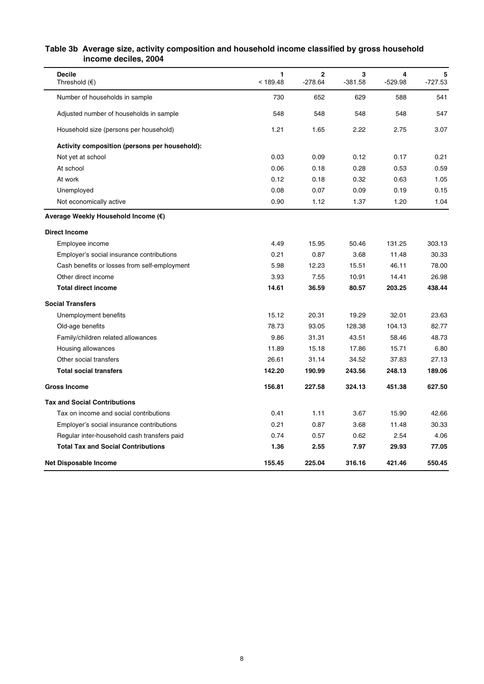# **Table 3b Average size, activity composition and household income classified by gross household income deciles, 2004**

| <b>Decile</b><br>Threshold $(\epsilon)$       | 1<br>< 189.48 | $\mathbf 2$<br>$-278.64$ | 3<br>$-381.58$ | 4<br>$-529.98$ | 5<br>$-727.53$ |
|-----------------------------------------------|---------------|--------------------------|----------------|----------------|----------------|
| Number of households in sample                | 730           | 652                      | 629            | 588            | 541            |
| Adjusted number of households in sample       | 548           | 548                      | 548            | 548            | 547            |
| Household size (persons per household)        | 1.21          | 1.65                     | 2.22           | 2.75           | 3.07           |
| Activity composition (persons per household): |               |                          |                |                |                |
| Not yet at school                             | 0.03          | 0.09                     | 0.12           | 0.17           | 0.21           |
| At school                                     | 0.06          | 0.18                     | 0.28           | 0.53           | 0.59           |
| At work                                       | 0.12          | 0.18                     | 0.32           | 0.63           | 1.05           |
| Unemployed                                    | 0.08          | 0.07                     | 0.09           | 0.19           | 0.15           |
| Not economically active                       | 0.90          | 1.12                     | 1.37           | 1.20           | 1.04           |
| Average Weekly Household Income (€)           |               |                          |                |                |                |
| <b>Direct Income</b>                          |               |                          |                |                |                |
| Employee income                               | 4.49          | 15.95                    | 50.46          | 131.25         | 303.13         |
| Employer's social insurance contributions     | 0.21          | 0.87                     | 3.68           | 11.48          | 30.33          |
| Cash benefits or losses from self-employment  | 5.98          | 12.23                    | 15.51          | 46.11          | 78.00          |
| Other direct income                           | 3.93          | 7.55                     | 10.91          | 14.41          | 26.98          |
| <b>Total direct income</b>                    | 14.61         | 36.59                    | 80.57          | 203.25         | 438.44         |
| <b>Social Transfers</b>                       |               |                          |                |                |                |
| Unemployment benefits                         | 15.12         | 20.31                    | 19.29          | 32.01          | 23.63          |
| Old-age benefits                              | 78.73         | 93.05                    | 128.38         | 104.13         | 82.77          |
| Family/children related allowances            | 9.86          | 31.31                    | 43.51          | 58.46          | 48.73          |
| Housing allowances                            | 11.89         | 15.18                    | 17.86          | 15.71          | 6.80           |
| Other social transfers                        | 26.61         | 31.14                    | 34.52          | 37.83          | 27.13          |
| <b>Total social transfers</b>                 | 142.20        | 190.99                   | 243.56         | 248.13         | 189.06         |
| <b>Gross Income</b>                           | 156.81        | 227.58                   | 324.13         | 451.38         | 627.50         |
| <b>Tax and Social Contributions</b>           |               |                          |                |                |                |
| Tax on income and social contributions        | 0.41          | 1.11                     | 3.67           | 15.90          | 42.66          |
| Employer's social insurance contributions     | 0.21          | 0.87                     | 3.68           | 11.48          | 30.33          |
| Regular inter-household cash transfers paid   | 0.74          | 0.57                     | 0.62           | 2.54           | 4.06           |
| <b>Total Tax and Social Contributions</b>     | 1.36          | 2.55                     | 7.97           | 29.93          | 77.05          |
| <b>Net Disposable Income</b>                  | 155.45        | 225.04                   | 316.16         | 421.46         | 550.45         |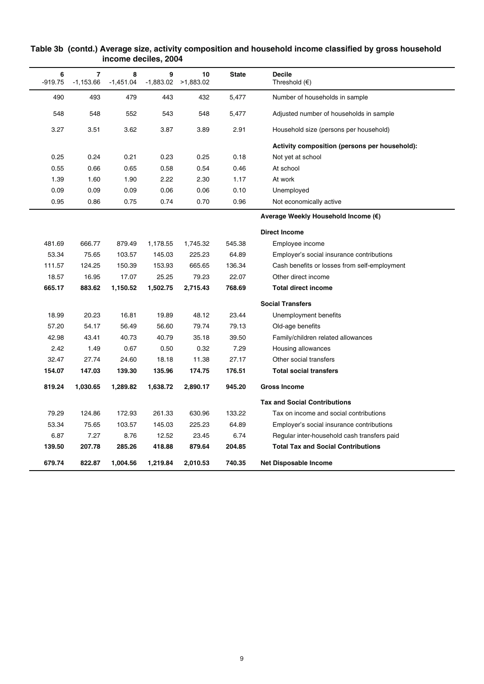| 6<br>$-919.75$ | $\overline{7}$<br>$-1,153.66$ | 8<br>$-1,451.04$ | 9        | 10<br>$-1,883.02$ $>1,883.02$ | <b>State</b> | <b>Decile</b><br>Threshold $(\epsilon)$       |
|----------------|-------------------------------|------------------|----------|-------------------------------|--------------|-----------------------------------------------|
| 490            | 493                           | 479              | 443      | 432                           | 5,477        | Number of households in sample                |
| 548            | 548                           | 552              | 543      | 548                           | 5,477        | Adjusted number of households in sample       |
| 3.27           | 3.51                          | 3.62             | 3.87     | 3.89                          | 2.91         | Household size (persons per household)        |
|                |                               |                  |          |                               |              | Activity composition (persons per household): |
| 0.25           | 0.24                          | 0.21             | 0.23     | 0.25                          | 0.18         | Not yet at school                             |
| 0.55           | 0.66                          | 0.65             | 0.58     | 0.54                          | 0.46         | At school                                     |
| 1.39           | 1.60                          | 1.90             | 2.22     | 2.30                          | 1.17         | At work                                       |
| 0.09           | 0.09                          | 0.09             | 0.06     | 0.06                          | 0.10         | Unemployed                                    |
| 0.95           | 0.86                          | 0.75             | 0.74     | 0.70                          | 0.96         | Not economically active                       |
|                |                               |                  |          |                               |              | Average Weekly Household Income (€)           |
|                |                               |                  |          |                               |              | <b>Direct Income</b>                          |
| 481.69         | 666.77                        | 879.49           | 1,178.55 | 1,745.32                      | 545.38       | Employee income                               |
| 53.34          | 75.65                         | 103.57           | 145.03   | 225.23                        | 64.89        | Employer's social insurance contributions     |
| 111.57         | 124.25                        | 150.39           | 153.93   | 665.65                        | 136.34       | Cash benefits or losses from self-employment  |
| 18.57          | 16.95                         | 17.07            | 25.25    | 79.23                         | 22.07        | Other direct income                           |
| 665.17         | 883.62                        | 1,150.52         | 1,502.75 | 2,715.43                      | 768.69       | <b>Total direct income</b>                    |
|                |                               |                  |          |                               |              | <b>Social Transfers</b>                       |
| 18.99          | 20.23                         | 16.81            | 19.89    | 48.12                         | 23.44        | Unemployment benefits                         |
| 57.20          | 54.17                         | 56.49            | 56.60    | 79.74                         | 79.13        | Old-age benefits                              |
| 42.98          | 43.41                         | 40.73            | 40.79    | 35.18                         | 39.50        | Family/children related allowances            |
| 2.42           | 1.49                          | 0.67             | 0.50     | 0.32                          | 7.29         | Housing allowances                            |
| 32.47          | 27.74                         | 24.60            | 18.18    | 11.38                         | 27.17        | Other social transfers                        |
| 154.07         | 147.03                        | 139.30           | 135.96   | 174.75                        | 176.51       | <b>Total social transfers</b>                 |
| 819.24         | 1,030.65                      | 1,289.82         | 1,638.72 | 2,890.17                      | 945.20       | <b>Gross Income</b>                           |
|                |                               |                  |          |                               |              | <b>Tax and Social Contributions</b>           |
| 79.29          | 124.86                        | 172.93           | 261.33   | 630.96                        | 133.22       | Tax on income and social contributions        |
| 53.34          | 75.65                         | 103.57           | 145.03   | 225.23                        | 64.89        | Employer's social insurance contributions     |
| 6.87           | 7.27                          | 8.76             | 12.52    | 23.45                         | 6.74         | Regular inter-household cash transfers paid   |
| 139.50         | 207.78                        | 285.26           | 418.88   | 879.64                        | 204.85       | <b>Total Tax and Social Contributions</b>     |
| 679.74         | 822.87                        | 1,004.56         | 1,219.84 | 2,010.53                      | 740.35       | Net Disposable Income                         |

## **Table 3b (contd.) Average size, activity composition and household income classified by gross household income deciles, 2004**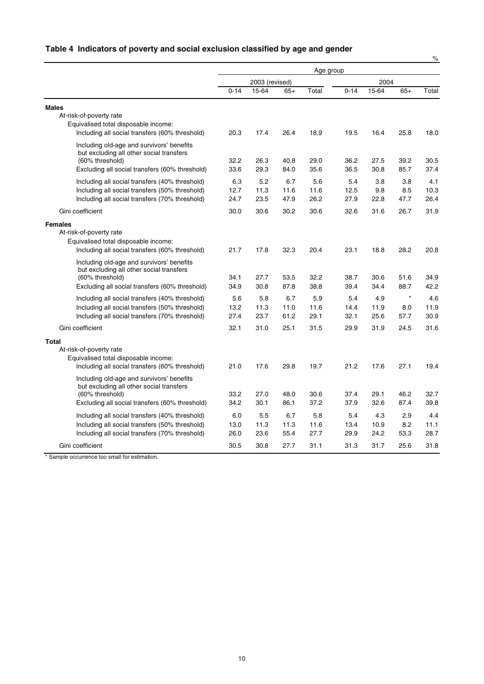# **Table 4 Indicators of poverty and social exclusion classified by age and gender**

|                                                                   | Age group      |              |              |              |              |              |              |              |
|-------------------------------------------------------------------|----------------|--------------|--------------|--------------|--------------|--------------|--------------|--------------|
|                                                                   | 2003 (revised) |              |              |              | 2004         |              |              |              |
|                                                                   | $0 - 14$       | 15-64        | $65+$        | Total        | $0 - 14$     | 15-64        | $65+$        | Total        |
| <b>Males</b>                                                      |                |              |              |              |              |              |              |              |
| At-risk-of-poverty rate                                           |                |              |              |              |              |              |              |              |
| Equivalised total disposable income:                              |                |              |              |              |              |              |              |              |
| Including all social transfers (60% threshold)                    | 20.3           | 17.4         | 26.4         | 18.9         | 19.5         | 16.4         | 25.8         | 18.0         |
| Including old-age and survivors' benefits                         |                |              |              |              |              |              |              |              |
| but excluding all other social transfers                          |                |              |              |              |              |              |              |              |
| (60% threshold)<br>Excluding all social transfers (60% threshold) | 32.2<br>33.6   | 26.3<br>29.3 | 40.8<br>84.0 | 29.0<br>35.6 | 36.2<br>36.5 | 27.5<br>30.8 | 39.2<br>85.7 | 30.5<br>37.4 |
|                                                                   |                |              |              |              |              |              |              |              |
| Including all social transfers (40% threshold)                    | 6.3            | 5.2          | 6.7          | 5.6          | 5.4          | 3.8          | 3.8          | 4.1          |
| Including all social transfers (50% threshold)                    | 12.7<br>24.7   | 11.3         | 11.6         | 11.6<br>26.2 | 12.5<br>27.9 | 9.8<br>22.8  | 8.5          | 10.3<br>26.4 |
| Including all social transfers (70% threshold)                    |                | 23.5         | 47.9         |              |              |              | 47.7         |              |
| Gini coefficient                                                  | 30.0           | 30.6         | 30.2         | 30.6         | 32.6         | 31.6         | 26.7         | 31.9         |
| <b>Females</b>                                                    |                |              |              |              |              |              |              |              |
| At-risk-of-poverty rate                                           |                |              |              |              |              |              |              |              |
| Equivalised total disposable income:                              |                |              |              |              |              |              |              |              |
| Including all social transfers (60% threshold)                    | 21.7           | 17.8         | 32.3         | 20.4         | 23.1         | 18.8         | 28.2         | 20.8         |
| Including old-age and survivors' benefits                         |                |              |              |              |              |              |              |              |
| but excluding all other social transfers                          |                |              |              |              |              |              |              |              |
| (60% threshold)                                                   | 34.1<br>34.9   | 27.7<br>30.8 | 53.5<br>87.8 | 32.2<br>38.8 | 38.7<br>39.4 | 30.6<br>34.4 | 51.6<br>88.7 | 34.9<br>42.2 |
| Excluding all social transfers (60% threshold)                    |                |              |              |              |              |              |              |              |
| Including all social transfers (40% threshold)                    | 5.6            | 5.8          | 6.7          | 5.9          | 5.4          | 4.9          | $\star$      | 4.6          |
| Including all social transfers (50% threshold)                    | 13.2           | 11.3         | 11.0         | 11.6         | 14.4         | 11.9         | 8.0          | 11.9         |
| Including all social transfers (70% threshold)                    | 27.4           | 23.7         | 61.2         | 29.1         | 32.1         | 25.6         | 57.7         | 30.9         |
| Gini coefficient                                                  | 32.1           | 31.0         | 25.1         | 31.5         | 29.9         | 31.9         | 24.5         | 31.6         |
| <b>Total</b>                                                      |                |              |              |              |              |              |              |              |
| At-risk-of-poverty rate                                           |                |              |              |              |              |              |              |              |
| Equivalised total disposable income:                              |                |              |              |              |              |              |              |              |
| Including all social transfers (60% threshold)                    | 21.0           | 17.6         | 29.8         | 19.7         | 21.2         | 17.6         | 27.1         | 19.4         |
| Including old-age and survivors' benefits                         |                |              |              |              |              |              |              |              |
| but excluding all other social transfers<br>(60% threshold)       | 33.2           | 27.0         | 48.0         | 30.6         | 37.4         | 29.1         | 46.2         | 32.7         |
| Excluding all social transfers (60% threshold)                    | 34.2           | 30.1         | 86.1         | 37.2         | 37.9         | 32.6         | 87.4         | 39.8         |
|                                                                   |                |              |              |              |              |              |              |              |
| Including all social transfers (40% threshold)                    | 6.0            | 5.5          | 6.7          | 5.8          | 5.4          | 4.3          | 2.9          | 4.4          |
| Including all social transfers (50% threshold)                    | 13.0           | 11.3         | 11.3         | 11.6         | 13.4         | 10.9         | 8.2          | 11.1<br>28.7 |
| Including all social transfers (70% threshold)                    | 26.0           | 23.6         | 55.4         | 27.7         | 29.9         | 24.2         | 53.3         |              |
| Gini coefficient                                                  | 30.5           | 30.8         | 27.7         | 31.1         | 31.3         | 31.7         | 25.6         | 31.8         |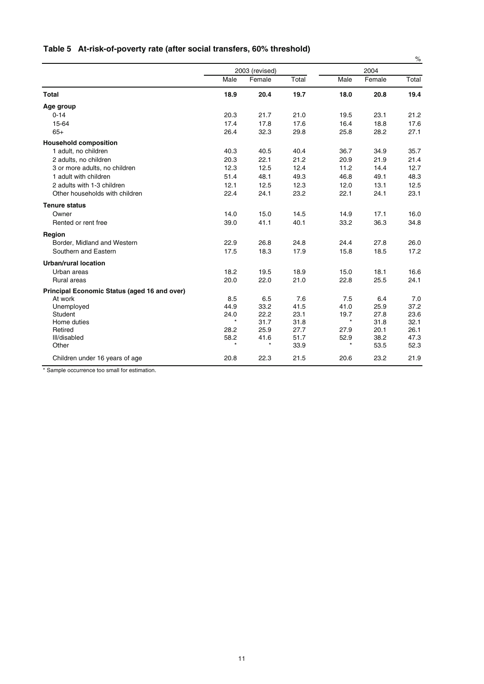|  |  |  |  | Table 5 At-risk-of-poverty rate (after social transfers, 60% threshold) |  |  |
|--|--|--|--|-------------------------------------------------------------------------|--|--|
|--|--|--|--|-------------------------------------------------------------------------|--|--|

|                                              |                 |                |              |                 |              | $\%$         |
|----------------------------------------------|-----------------|----------------|--------------|-----------------|--------------|--------------|
|                                              |                 | 2003 (revised) |              |                 | 2004         |              |
|                                              | Male            | Female         | Total        | Male            | Female       | Total        |
| <b>Total</b>                                 | 18.9            | 20.4           | 19.7         | 18.0            | 20.8         | 19.4         |
| Age group                                    |                 |                |              |                 |              |              |
| $0 - 14$                                     | 20.3            | 21.7           | 21.0         | 19.5            | 23.1         | 21.2         |
| 15-64                                        | 17.4            | 17.8           | 17.6         | 16.4            | 18.8         | 17.6         |
| $65+$                                        | 26.4            | 32.3           | 29.8         | 25.8            | 28.2         | 27.1         |
| <b>Household composition</b>                 |                 |                |              |                 |              |              |
| 1 adult, no children                         | 40.3            | 40.5           | 40.4         | 36.7            | 34.9         | 35.7         |
| 2 adults, no children                        | 20.3            | 22.1           | 21.2         | 20.9            | 21.9         | 21.4         |
| 3 or more adults, no children                | 12.3            | 12.5           | 12.4         | 11.2            | 14.4         | 12.7         |
| 1 adult with children                        | 51.4            | 48.1           | 49.3         | 46.8            | 49.1         | 48.3         |
| 2 adults with 1-3 children                   | 12.1            | 12.5           | 12.3         | 12.0            | 13.1         | 12.5         |
| Other households with children               | 22.4            | 24.1           | 23.2         | 22.1            | 24.1         | 23.1         |
| <b>Tenure status</b>                         |                 |                |              |                 |              |              |
| Owner                                        | 14.0            | 15.0           | 14.5         | 14.9            | 17.1         | 16.0         |
| Rented or rent free                          | 39.0            | 41.1           | 40.1         | 33.2            | 36.3         | 34.8         |
| Region                                       |                 |                |              |                 |              |              |
| Border, Midland and Western                  | 22.9            | 26.8           | 24.8         | 24.4            | 27.8         | 26.0         |
| Southern and Eastern                         | 17.5            | 18.3           | 17.9         | 15.8            | 18.5         | 17.2         |
| <b>Urban/rural location</b>                  |                 |                |              |                 |              |              |
| Urban areas                                  | 18.2            | 19.5           | 18.9         | 15.0            | 18.1         | 16.6         |
| Rural areas                                  | 20.0            | 22.0           | 21.0         | 22.8            | 25.5         | 24.1         |
| Principal Economic Status (aged 16 and over) |                 |                |              |                 |              |              |
| At work                                      | 8.5             | 6.5            | 7.6          | 7.5             | 6.4          | 7.0          |
| Unemployed                                   | 44.9            | 33.2           | 41.5         | 41.0            | 25.9         | 37.2         |
| Student                                      | 24.0<br>$\star$ | 22.2           | 23.1         | 19.7<br>$\star$ | 27.8         | 23.6         |
| Home duties                                  |                 | 31.7           | 31.8         |                 | 31.8         | 32.1         |
| Retired                                      | 28.2            | 25.9           | 27.7         | 27.9            | 20.1         | 26.1         |
| III/disabled<br>Other                        | 58.2<br>$\star$ | 41.6           | 51.7<br>33.9 | 52.9<br>$\star$ | 38.2<br>53.5 | 47.3<br>52.3 |
|                                              |                 |                |              |                 |              |              |
| Children under 16 years of age               | 20.8            | 22.3           | 21.5         | 20.6            | 23.2         | 21.9         |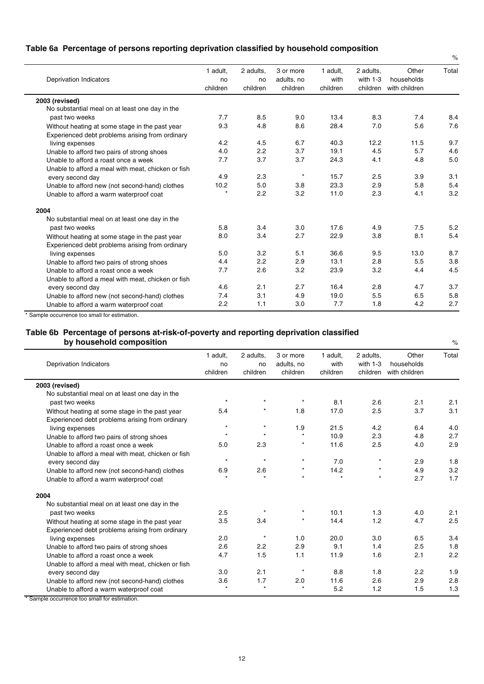## **Table 6a Percentage of persons reporting deprivation classified by household composition**

| <b>Deprivation Indicators</b>                      | 1 adult.<br>no<br>children | 2 adults,<br>no<br>children | 3 or more<br>adults, no<br>children | 1 adult.<br>with<br>children | 2 adults.<br>with $1-3$<br>children | Other<br>households<br>with children | Total |
|----------------------------------------------------|----------------------------|-----------------------------|-------------------------------------|------------------------------|-------------------------------------|--------------------------------------|-------|
| 2003 (revised)                                     |                            |                             |                                     |                              |                                     |                                      |       |
| No substantial meal on at least one day in the     |                            |                             |                                     |                              |                                     |                                      |       |
| past two weeks                                     | 7.7                        | 8.5                         | 9.0                                 | 13.4                         | 8.3                                 | 7.4                                  | 8.4   |
| Without heating at some stage in the past year     | 9.3                        | 4.8                         | 8.6                                 | 28.4                         | 7.0                                 | 5.6                                  | 7.6   |
| Experienced debt problems arising from ordinary    |                            |                             |                                     |                              |                                     |                                      |       |
| living expenses                                    | 4.2                        | 4.5                         | 6.7                                 | 40.3                         | 12.2                                | 11.5                                 | 9.7   |
| Unable to afford two pairs of strong shoes         | 4.0                        | 2.2                         | 3.7                                 | 19.1                         | 4.5                                 | 5.7                                  | 4.6   |
| Unable to afford a roast once a week               | 7.7                        | 3.7                         | 3.7                                 | 24.3                         | 4.1                                 | 4.8                                  | 5.0   |
| Unable to afford a meal with meat, chicken or fish |                            |                             |                                     |                              |                                     |                                      |       |
| every second day                                   | 4.9                        | 2.3                         | $\star$                             | 15.7                         | 2.5                                 | 3.9                                  | 3.1   |
| Unable to afford new (not second-hand) clothes     | 10.2                       | 5.0                         | 3.8                                 | 23.3                         | 2.9                                 | 5.8                                  | 5.4   |
| Unable to afford a warm waterproof coat            |                            | 2.2                         | 3.2                                 | 11.0                         | 2.3                                 | 4.1                                  | 3.2   |
| 2004                                               |                            |                             |                                     |                              |                                     |                                      |       |
| No substantial meal on at least one day in the     |                            |                             |                                     |                              |                                     |                                      |       |
| past two weeks                                     | 5.8                        | 3.4                         | 3.0                                 | 17.6                         | 4.9                                 | 7.5                                  | 5.2   |
| Without heating at some stage in the past year     | 8.0                        | 3.4                         | 2.7                                 | 22.9                         | 3.8                                 | 8.1                                  | 5.4   |
| Experienced debt problems arising from ordinary    |                            |                             |                                     |                              |                                     |                                      |       |
| living expenses                                    | 5.0                        | 3.2                         | 5.1                                 | 36.6                         | 9.5                                 | 13.0                                 | 8.7   |
| Unable to afford two pairs of strong shoes         | 4.4                        | 2.2                         | 2.9                                 | 13.1                         | 2.8                                 | 5.5                                  | 3.8   |
| Unable to afford a roast once a week               | 7.7                        | 2.6                         | 3.2                                 | 23.9                         | 3.2                                 | 4.4                                  | 4.5   |
| Unable to afford a meal with meat, chicken or fish |                            |                             |                                     |                              |                                     |                                      |       |
| every second day                                   | 4.6                        | 2.1                         | 2.7                                 | 16.4                         | 2.8                                 | 4.7                                  | 3.7   |
| Unable to afford new (not second-hand) clothes     | 7.4                        | 3.1                         | 4.9                                 | 19.0                         | 5.5                                 | 6.5                                  | 5.8   |
| Unable to afford a warm waterproof coat            | 2.2                        | 1.1                         | 3.0                                 | 7.7                          | 1.8                                 | 4.2                                  | 2.7   |

 $\%$ 

\* Sample occurrence too small for estimation.

### **Table 6b Percentage of persons at-risk-of-poverty and reporting deprivation classified** by household composition<br>
we have a set of the set of the set of the set of the set of the set of the set of the set of the set of the set of the set of the set of the set of the set of the set of the set of the set of the

| <b>Deprivation Indicators</b>                      | 1 adult,<br>no<br>children | 2 adults,<br>no<br>children | 3 or more<br>adults, no<br>children | 1 adult.<br>with<br>children | 2 adults,<br>with $1-3$<br>children | Other<br>households<br>with children | Total |
|----------------------------------------------------|----------------------------|-----------------------------|-------------------------------------|------------------------------|-------------------------------------|--------------------------------------|-------|
| 2003 (revised)                                     |                            |                             |                                     |                              |                                     |                                      |       |
| No substantial meal on at least one day in the     |                            |                             |                                     |                              |                                     |                                      |       |
| past two weeks                                     | $\star$                    |                             |                                     | 8.1                          | 2.6                                 | 2.1                                  | 2.1   |
| Without heating at some stage in the past year     | 5.4                        |                             | 1.8                                 | 17.0                         | 2.5                                 | 3.7                                  | 3.1   |
| Experienced debt problems arising from ordinary    |                            |                             |                                     |                              |                                     |                                      |       |
| living expenses                                    | $\star$                    | $\star$                     | 1.9                                 | 21.5                         | 4.2                                 | 6.4                                  | 4.0   |
| Unable to afford two pairs of strong shoes         | $\star$                    | $\star$                     |                                     | 10.9                         | 2.3                                 | 4.8                                  | 2.7   |
| Unable to afford a roast once a week               | 5.0                        | 2.3                         |                                     | 11.6                         | 2.5                                 | 4.0                                  | 2.9   |
| Unable to afford a meal with meat, chicken or fish |                            |                             |                                     |                              |                                     |                                      |       |
| every second day                                   | $\star$                    | $\star$                     | $^\star$                            | 7.0                          |                                     | 2.9                                  | 1.8   |
| Unable to afford new (not second-hand) clothes     | 6.9                        | 2.6                         | $\star$                             | 14.2                         | $\star$                             | 4.9                                  | 3.2   |
| Unable to afford a warm waterproof coat            |                            | $\star$                     | $\star$                             | $\star$                      | $\star$                             | 2.7                                  | 1.7   |
| 2004                                               |                            |                             |                                     |                              |                                     |                                      |       |
| No substantial meal on at least one day in the     |                            |                             |                                     |                              |                                     |                                      |       |
| past two weeks                                     | 2.5                        |                             |                                     | 10.1                         | 1.3                                 | 4.0                                  | 2.1   |
| Without heating at some stage in the past year     | 3.5                        | 3.4                         |                                     | 14.4                         | 1.2                                 | 4.7                                  | 2.5   |
| Experienced debt problems arising from ordinary    |                            |                             |                                     |                              |                                     |                                      |       |
| living expenses                                    | 2.0                        |                             | 1.0                                 | 20.0                         | 3.0                                 | 6.5                                  | 3.4   |
| Unable to afford two pairs of strong shoes         | 2.6                        | 2.2                         | 2.9                                 | 9.1                          | 1.4                                 | 2.5                                  | 1.8   |
| Unable to afford a roast once a week               | 4.7                        | 1.5                         | 1.1                                 | 11.9                         | 1.6                                 | 2.1                                  | 2.2   |
| Unable to afford a meal with meat, chicken or fish |                            |                             |                                     |                              |                                     |                                      |       |
| every second day                                   | 3.0                        | 2.1                         |                                     | 8.8                          | 1.8                                 | 2.2                                  | 1.9   |
| Unable to afford new (not second-hand) clothes     | 3.6                        | 1.7                         | 2.0                                 | 11.6                         | 2.6                                 | 2.9                                  | 2.8   |
| Unable to afford a warm waterproof coat            | $\star$                    | $\star$                     |                                     | 5.2                          | 1.2                                 | 1.5                                  | 1.3   |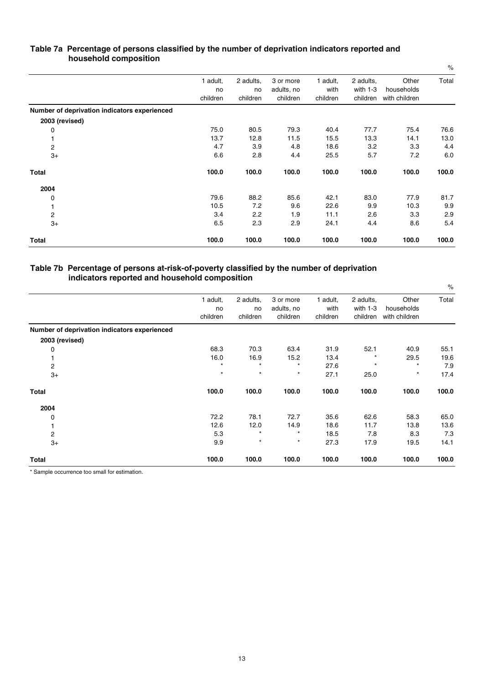| $\blacksquare$                               |                            |                             |                                     |                              |                                     |                                      | $\%$  |
|----------------------------------------------|----------------------------|-----------------------------|-------------------------------------|------------------------------|-------------------------------------|--------------------------------------|-------|
|                                              | 1 adult,<br>no<br>children | 2 adults,<br>no<br>children | 3 or more<br>adults, no<br>children | 1 adult,<br>with<br>children | 2 adults,<br>with $1-3$<br>children | Other<br>households<br>with children | Total |
| Number of deprivation indicators experienced |                            |                             |                                     |                              |                                     |                                      |       |
| 2003 (revised)                               |                            |                             |                                     |                              |                                     |                                      |       |
| 0                                            | 75.0                       | 80.5                        | 79.3                                | 40.4                         | 77.7                                | 75.4                                 | 76.6  |
|                                              | 13.7                       | 12.8                        | 11.5                                | 15.5                         | 13.3                                | 14.1                                 | 13.0  |
| 2                                            | 4.7                        | 3.9                         | 4.8                                 | 18.6                         | 3.2                                 | 3.3                                  | 4.4   |
| $3+$                                         | 6.6                        | 2.8                         | 4.4                                 | 25.5                         | 5.7                                 | 7.2                                  | 6.0   |
| <b>Total</b>                                 | 100.0                      | 100.0                       | 100.0                               | 100.0                        | 100.0                               | 100.0                                | 100.0 |
| 2004                                         |                            |                             |                                     |                              |                                     |                                      |       |
| 0                                            | 79.6                       | 88.2                        | 85.6                                | 42.1                         | 83.0                                | 77.9                                 | 81.7  |
| 1                                            | 10.5                       | 7.2                         | 9.6                                 | 22.6                         | 9.9                                 | 10.3                                 | 9.9   |
| $\overline{\mathbf{c}}$                      | 3.4                        | 2.2                         | 1.9                                 | 11.1                         | 2.6                                 | 3.3                                  | 2.9   |
| $3+$                                         | 6.5                        | 2.3                         | 2.9                                 | 24.1                         | 4.4                                 | 8.6                                  | 5.4   |
| Total                                        | 100.0                      | 100.0                       | 100.0                               | 100.0                        | 100.0                               | 100.0                                | 100.0 |

## **Table 7a Percentage of persons classified by the number of deprivation indicators reported and household composition**

## **Table 7b Percentage of persons at-risk-of-poverty classified by the number of deprivation indicators reported and household composition**

|                                              | 1 adult, | 2 adults, | 3 or more  | 1 adult, | 2 adults,  | Other         | Total |
|----------------------------------------------|----------|-----------|------------|----------|------------|---------------|-------|
|                                              | no       | no        | adults, no | with     | with $1-3$ | households    |       |
|                                              | children | children  | children   | children | children   | with children |       |
| Number of deprivation indicators experienced |          |           |            |          |            |               |       |
| 2003 (revised)                               |          |           |            |          |            |               |       |
| 0                                            | 68.3     | 70.3      | 63.4       | 31.9     | 52.1       | 40.9          | 55.1  |
|                                              | 16.0     | 16.9      | 15.2       | 13.4     | $\ast$     | 29.5          | 19.6  |
| $\overline{\mathbf{c}}$                      | $\star$  | $\star$   | $^{\star}$ | 27.6     | $\star$    | $\star$       | 7.9   |
| $3+$                                         | $\star$  | $\star$   | $\star$    | 27.1     | 25.0       | $\star$       | 17.4  |
| Total                                        | 100.0    | 100.0     | 100.0      | 100.0    | 100.0      | 100.0         | 100.0 |
| 2004                                         |          |           |            |          |            |               |       |
| 0                                            | 72.2     | 78.1      | 72.7       | 35.6     | 62.6       | 58.3          | 65.0  |
|                                              | 12.6     | 12.0      | 14.9       | 18.6     | 11.7       | 13.8          | 13.6  |
| $\overline{\mathbf{c}}$                      | 5.3      | $\star$   | $\star$    | 18.5     | 7.8        | 8.3           | 7.3   |
| $3+$                                         | 9.9      | $\star$   | $\star$    | 27.3     | 17.9       | 19.5          | 14.1  |
| Total                                        | 100.0    | 100.0     | 100.0      | 100.0    | 100.0      | 100.0         | 100.0 |

 $O_{\alpha}$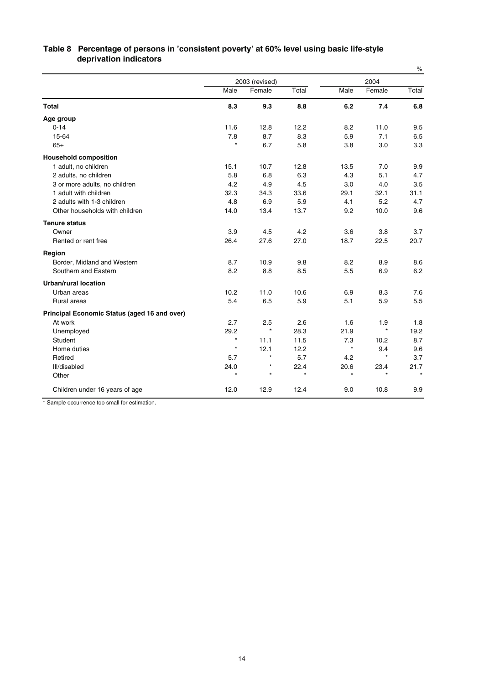|                                              |                |         |         |         |         | $\%$  |
|----------------------------------------------|----------------|---------|---------|---------|---------|-------|
|                                              | 2003 (revised) |         |         |         | 2004    |       |
|                                              | Male           | Female  | Total   | Male    | Female  | Total |
| <b>Total</b>                                 | 8.3            | 9.3     | 8.8     | 6.2     | 7.4     | 6.8   |
| Age group                                    |                |         |         |         |         |       |
| $0 - 14$                                     | 11.6           | 12.8    | 12.2    | 8.2     | 11.0    | 9.5   |
| 15-64                                        | 7.8            | 8.7     | 8.3     | 5.9     | 7.1     | 6.5   |
| $65+$                                        | $\star$        | 6.7     | 5.8     | 3.8     | 3.0     | 3.3   |
| <b>Household composition</b>                 |                |         |         |         |         |       |
| 1 adult, no children                         | 15.1           | 10.7    | 12.8    | 13.5    | 7.0     | 9.9   |
| 2 adults, no children                        | 5.8            | 6.8     | 6.3     | 4.3     | 5.1     | 4.7   |
| 3 or more adults, no children                | 4.2            | 4.9     | 4.5     | 3.0     | 4.0     | 3.5   |
| 1 adult with children                        | 32.3           | 34.3    | 33.6    | 29.1    | 32.1    | 31.1  |
| 2 adults with 1-3 children                   | 4.8            | 6.9     | 5.9     | 4.1     | 5.2     | 4.7   |
| Other households with children               | 14.0           | 13.4    | 13.7    | 9.2     | 10.0    | 9.6   |
| <b>Tenure status</b>                         |                |         |         |         |         |       |
| Owner                                        | 3.9            | 4.5     | 4.2     | 3.6     | 3.8     | 3.7   |
| Rented or rent free                          | 26.4           | 27.6    | 27.0    | 18.7    | 22.5    | 20.7  |
| Region                                       |                |         |         |         |         |       |
| Border, Midland and Western                  | 8.7            | 10.9    | 9.8     | 8.2     | 8.9     | 8.6   |
| Southern and Eastern                         | 8.2            | 8.8     | 8.5     | 5.5     | 6.9     | 6.2   |
| Urban/rural location                         |                |         |         |         |         |       |
| Urban areas                                  | 10.2           | 11.0    | 10.6    | 6.9     | 8.3     | 7.6   |
| <b>Rural areas</b>                           | 5.4            | 6.5     | 5.9     | 5.1     | 5.9     | 5.5   |
| Principal Economic Status (aged 16 and over) |                |         |         |         |         |       |
| At work                                      | 2.7            | 2.5     | 2.6     | 1.6     | 1.9     | 1.8   |
| Unemployed                                   | 29.2           | $\star$ | 28.3    | 21.9    | $\star$ | 19.2  |
| Student                                      | $\star$        | 11.1    | 11.5    | 7.3     | 10.2    | 8.7   |
| Home duties                                  | $\star$        | 12.1    | 12.2    | $\star$ | 9.4     | 9.6   |
| Retired                                      | 5.7            | $\star$ | 5.7     | 4.2     | $\star$ | 3.7   |
| III/disabled                                 | 24.0           | $\star$ | 22.4    | 20.6    | 23.4    | 21.7  |
| Other                                        | $\star$        | $\star$ | $\star$ | $\star$ | ÷       |       |
| Children under 16 years of age               | 12.0           | 12.9    | 12.4    | 9.0     | 10.8    | 9.9   |

## **Table 8 Percentage of persons in 'consistent poverty' at 60% level using basic life-style deprivation indicators**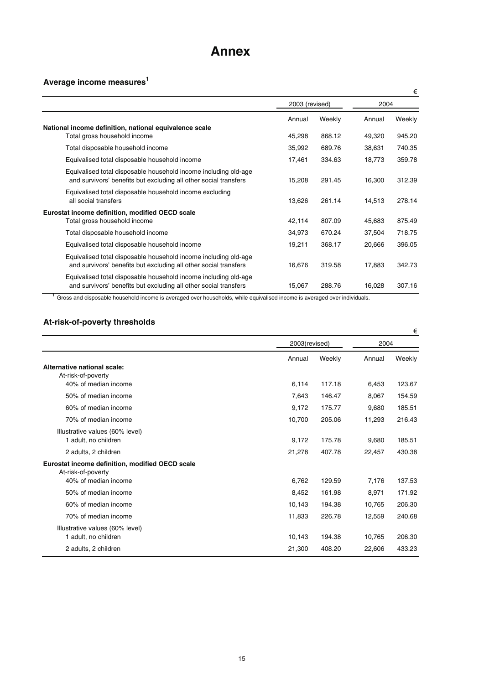# **Annex**

# **Average income measures1**

|                                                                                                                                     |                |        |        | €      |
|-------------------------------------------------------------------------------------------------------------------------------------|----------------|--------|--------|--------|
|                                                                                                                                     | 2003 (revised) |        | 2004   |        |
|                                                                                                                                     | Annual         | Weekly | Annual | Weekly |
| National income definition, national equivalence scale                                                                              |                |        |        |        |
| Total gross household income                                                                                                        | 45,298         | 868.12 | 49,320 | 945.20 |
| Total disposable household income                                                                                                   | 35,992         | 689.76 | 38,631 | 740.35 |
| Equivalised total disposable household income                                                                                       | 17,461         | 334.63 | 18,773 | 359.78 |
| Equivalised total disposable household income including old-age<br>and survivors' benefits but excluding all other social transfers | 15,208         | 291.45 | 16,300 | 312.39 |
| Equivalised total disposable household income excluding<br>all social transfers                                                     | 13,626         | 261.14 | 14,513 | 278.14 |
| Eurostat income definition, modified OECD scale                                                                                     |                |        |        |        |
| Total gross household income                                                                                                        | 42,114         | 807.09 | 45,683 | 875.49 |
| Total disposable household income                                                                                                   | 34,973         | 670.24 | 37,504 | 718.75 |
| Equivalised total disposable household income                                                                                       | 19,211         | 368.17 | 20,666 | 396.05 |
| Equivalised total disposable household income including old-age<br>and survivors' benefits but excluding all other social transfers | 16,676         | 319.58 | 17,883 | 342.73 |
| Equivalised total disposable household income including old-age<br>and survivors' benefits but excluding all other social transfers | 15,067         | 288.76 | 16,028 | 307.16 |

<sup>1</sup> Gross and disposable household income is averaged over households, while equivalised income is averaged over individuals.

# **At-risk-of-poverty thresholds**

|                                                                       |        |               |        | €      |
|-----------------------------------------------------------------------|--------|---------------|--------|--------|
|                                                                       |        | 2003(revised) |        | 2004   |
|                                                                       | Annual | Weekly        | Annual | Weekly |
| Alternative national scale:<br>At-risk-of-poverty                     |        |               |        |        |
| 40% of median income                                                  | 6,114  | 117.18        | 6,453  | 123.67 |
| 50% of median income                                                  | 7,643  | 146.47        | 8,067  | 154.59 |
| 60% of median income                                                  | 9,172  | 175.77        | 9,680  | 185.51 |
| 70% of median income                                                  | 10,700 | 205.06        | 11,293 | 216.43 |
| Illustrative values (60% level)                                       |        |               |        |        |
| 1 adult, no children                                                  | 9,172  | 175.78        | 9,680  | 185.51 |
| 2 adults, 2 children                                                  | 21,278 | 407.78        | 22,457 | 430.38 |
| Eurostat income definition, modified OECD scale<br>At-risk-of-poverty |        |               |        |        |
| 40% of median income                                                  | 6,762  | 129.59        | 7,176  | 137.53 |
| 50% of median income                                                  | 8,452  | 161.98        | 8,971  | 171.92 |
| 60% of median income                                                  | 10,143 | 194.38        | 10,765 | 206.30 |
| 70% of median income                                                  | 11,833 | 226.78        | 12,559 | 240.68 |
| Illustrative values (60% level)<br>1 adult, no children               | 10,143 | 194.38        | 10,765 | 206.30 |
| 2 adults, 2 children                                                  | 21,300 | 408.20        | 22,606 | 433.23 |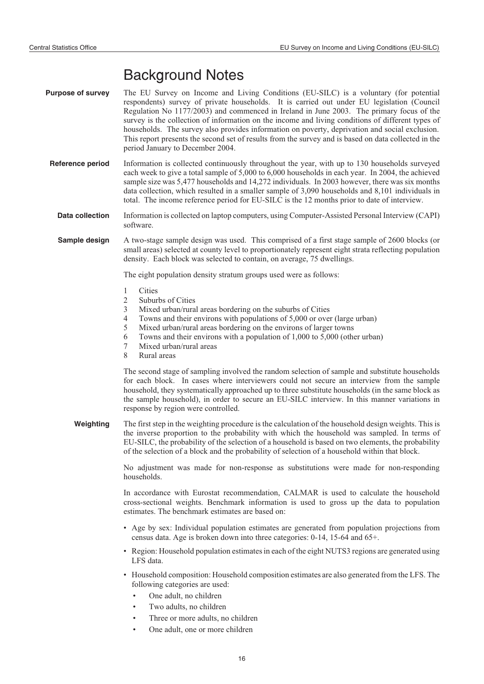# Background Notes

- **Purpose of survey** The EU Survey on Income and Living Conditions (EU-SILC) is a voluntary (for potential respondents) survey of private households. It is carried out under EU legislation (Council Regulation No 1177/2003) and commenced in Ireland in June 2003. The primary focus of the survey is the collection of information on the income and living conditions of different types of households. The survey also provides information on poverty, deprivation and social exclusion. This report presents the second set of results from the survey and is based on data collected in the period January to December 2004.
	- **Reference period** Information is collected continuously throughout the year, with up to 130 households surveyed each week to give a total sample of 5,000 to 6,000 households in each year. In 2004, the achieved sample size was 5,477 households and 14,272 individuals. In 2003 however, there was six months data collection, which resulted in a smaller sample of 3,090 households and 8,101 individuals in total. The income reference period for EU-SILC is the 12 months prior to date of interview.
		- **Data collection** Information is collected on laptop computers, using Computer-Assisted Personal Interview (CAPI) software.
		- **Sample design** A two-stage sample design was used. This comprised of a first stage sample of 2600 blocks (or small areas) selected at county level to proportionately represent eight strata reflecting population density. Each block was selected to contain, on average, 75 dwellings.

The eight population density stratum groups used were as follows:

- 1 Cities
- 2 Suburbs of Cities
- 3 Mixed urban/rural areas bordering on the suburbs of Cities
- 4 Towns and their environs with populations of 5,000 or over (large urban)
- 5 Mixed urban/rural areas bordering on the environs of larger towns
- 6 Towns and their environs with a population of 1,000 to 5,000 (other urban)
- 7 Mixed urban/rural areas
- 8 Rural areas

The second stage of sampling involved the random selection of sample and substitute households for each block. In cases where interviewers could not secure an interview from the sample household, they systematically approached up to three substitute households (in the same block as the sample household), in order to secure an EU-SILC interview. In this manner variations in response by region were controlled.

**Weighting** The first step in the weighting procedure is the calculation of the household design weights. This is the inverse proportion to the probability with which the household was sampled. In terms of EU-SILC, the probability of the selection of a household is based on two elements, the probability of the selection of a block and the probability of selection of a household within that block.

> No adjustment was made for non-response as substitutions were made for non-responding households.

> In accordance with Eurostat recommendation, CALMAR is used to calculate the household cross-sectional weights. Benchmark information is used to gross up the data to population estimates. The benchmark estimates are based on:

- Age by sex: Individual population estimates are generated from population projections from census data. Age is broken down into three categories: 0-14, 15-64 and 65+.
- Region: Household population estimates in each of the eight NUTS3 regions are generated using LFS data.
- Household composition: Household composition estimates are also generated from the LFS. The following categories are used:
	- One adult, no children
	- Two adults, no children
	- Three or more adults, no children
	- One adult, one or more children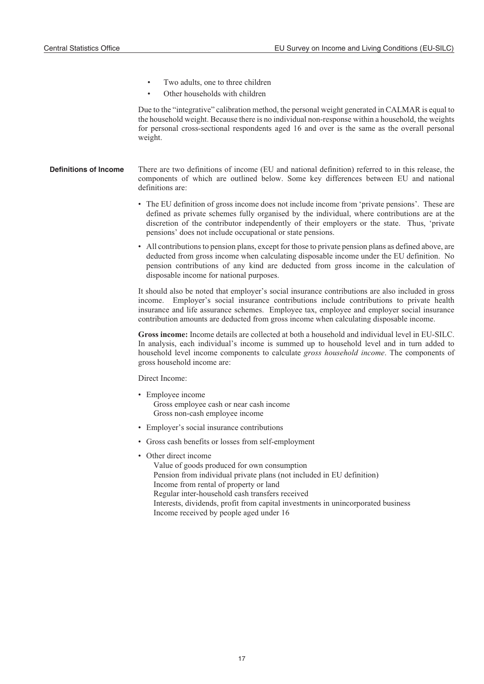- Two adults, one to three children
- Other households with children

Due to the "integrative" calibration method, the personal weight generated in CALMAR is equal to the household weight. Because there is no individual non-response within a household, the weights for personal cross-sectional respondents aged 16 and over is the same as the overall personal weight.

- **Definitions of Income** There are two definitions of income (EU and national definition) referred to in this release, the components of which are outlined below. Some key differences between EU and national definitions are:
	- The EU definition of gross income does not include income from 'private pensions'. These are defined as private schemes fully organised by the individual, where contributions are at the discretion of the contributor independently of their employers or the state. Thus, 'private pensions' does not include occupational or state pensions.
	- All contributions to pension plans, except for those to private pension plans as defined above, are deducted from gross income when calculating disposable income under the EU definition. No pension contributions of any kind are deducted from gross income in the calculation of disposable income for national purposes.

It should also be noted that employer's social insurance contributions are also included in gross income. Employer's social insurance contributions include contributions to private health insurance and life assurance schemes. Employee tax, employee and employer social insurance contribution amounts are deducted from gross income when calculating disposable income.

**Gross income:** Income details are collected at both a household and individual level in EU-SILC. In analysis, each individual's income is summed up to household level and in turn added to household level income components to calculate *gross household income*. The components of gross household income are:

Direct Income:

- Employee income Gross employee cash or near cash income Gross non-cash employee income
- Employer's social insurance contributions
- Gross cash benefits or losses from self-employment
- Other direct income

Value of goods produced for own consumption Pension from individual private plans (not included in EU definition) Income from rental of property or land Regular inter-household cash transfers received Interests, dividends, profit from capital investments in unincorporated business Income received by people aged under 16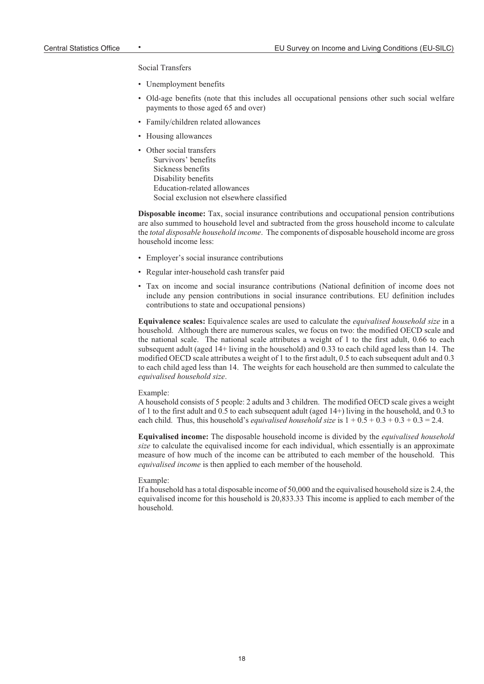Social Transfers

- Unemployment benefits
- Old-age benefits (note that this includes all occupational pensions other such social welfare payments to those aged 65 and over)
- Family/children related allowances
- Housing allowances
- Other social transfers Survivors' benefits Sickness benefits Disability benefits Education-related allowances Social exclusion not elsewhere classified

**Disposable income:** Tax, social insurance contributions and occupational pension contributions are also summed to household level and subtracted from the gross household income to calculate the *total disposable household income*. The components of disposable household income are gross household income less:

- Employer's social insurance contributions
- Regular inter-household cash transfer paid
- Tax on income and social insurance contributions (National definition of income does not include any pension contributions in social insurance contributions. EU definition includes contributions to state and occupational pensions)

**Equivalence scales:** Equivalence scales are used to calculate the *equivalised household size* in a household. Although there are numerous scales, we focus on two: the modified OECD scale and the national scale. The national scale attributes a weight of 1 to the first adult, 0.66 to each subsequent adult (aged 14+ living in the household) and 0.33 to each child aged less than 14. The modified OECD scale attributes a weight of 1 to the first adult, 0.5 to each subsequent adult and 0.3 to each child aged less than 14. The weights for each household are then summed to calculate the *equivalised household size*.

#### Example:

A household consists of 5 people: 2 adults and 3 children. The modified OECD scale gives a weight of 1 to the first adult and 0.5 to each subsequent adult (aged 14+) living in the household, and 0.3 to each child. Thus, this household's *equivalised household size* is  $1 + 0.5 + 0.3 + 0.3 + 0.3 = 2.4$ .

**Equivalised income:** The disposable household income is divided by the *equivalised household size* to calculate the equivalised income for each individual, which essentially is an approximate measure of how much of the income can be attributed to each member of the household. This *equivalised income* is then applied to each member of the household.

#### Example:

If a household has a total disposable income of 50,000 and the equivalised household size is 2.4, the equivalised income for this household is 20,833.33 This income is applied to each member of the household.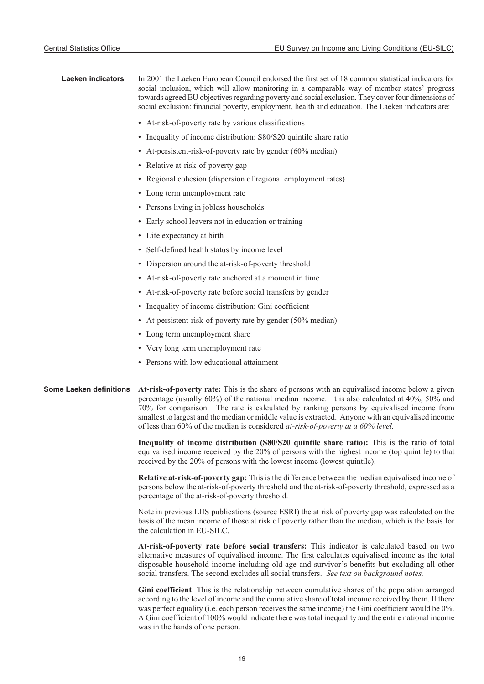| <b>Laeken indicators</b>       | In 2001 the Laeken European Council endorsed the first set of 18 common statistical indicators for<br>social inclusion, which will allow monitoring in a comparable way of member states' progress<br>towards agreed EU objectives regarding poverty and social exclusion. They cover four dimensions of<br>social exclusion: financial poverty, employment, health and education. The Laeken indicators are:                                                                        |
|--------------------------------|--------------------------------------------------------------------------------------------------------------------------------------------------------------------------------------------------------------------------------------------------------------------------------------------------------------------------------------------------------------------------------------------------------------------------------------------------------------------------------------|
|                                | • At-risk-of-poverty rate by various classifications                                                                                                                                                                                                                                                                                                                                                                                                                                 |
|                                | • Inequality of income distribution: S80/S20 quintile share ratio                                                                                                                                                                                                                                                                                                                                                                                                                    |
|                                | • At-persistent-risk-of-poverty rate by gender (60% median)                                                                                                                                                                                                                                                                                                                                                                                                                          |
|                                | • Relative at-risk-of-poverty gap                                                                                                                                                                                                                                                                                                                                                                                                                                                    |
|                                | • Regional cohesion (dispersion of regional employment rates)                                                                                                                                                                                                                                                                                                                                                                                                                        |
|                                | • Long term unemployment rate                                                                                                                                                                                                                                                                                                                                                                                                                                                        |
|                                | • Persons living in jobless households                                                                                                                                                                                                                                                                                                                                                                                                                                               |
|                                | • Early school leavers not in education or training                                                                                                                                                                                                                                                                                                                                                                                                                                  |
|                                | • Life expectancy at birth                                                                                                                                                                                                                                                                                                                                                                                                                                                           |
|                                | • Self-defined health status by income level                                                                                                                                                                                                                                                                                                                                                                                                                                         |
|                                | • Dispersion around the at-risk-of-poverty threshold                                                                                                                                                                                                                                                                                                                                                                                                                                 |
|                                | • At-risk-of-poverty rate anchored at a moment in time                                                                                                                                                                                                                                                                                                                                                                                                                               |
|                                | • At-risk-of-poverty rate before social transfers by gender                                                                                                                                                                                                                                                                                                                                                                                                                          |
|                                | • Inequality of income distribution: Gini coefficient                                                                                                                                                                                                                                                                                                                                                                                                                                |
|                                | • At-persistent-risk-of-poverty rate by gender (50% median)                                                                                                                                                                                                                                                                                                                                                                                                                          |
|                                | • Long term unemployment share                                                                                                                                                                                                                                                                                                                                                                                                                                                       |
|                                | • Very long term unemployment rate                                                                                                                                                                                                                                                                                                                                                                                                                                                   |
|                                | • Persons with low educational attainment                                                                                                                                                                                                                                                                                                                                                                                                                                            |
| <b>Some Laeken definitions</b> | At-risk-of-poverty rate: This is the share of persons with an equivalised income below a given<br>percentage (usually 60%) of the national median income. It is also calculated at 40%, 50% and<br>70% for comparison. The rate is calculated by ranking persons by equivalised income from<br>smallest to largest and the median or middle value is extracted. Anyone with an equivalised income<br>of less than 60% of the median is considered at-risk-of-poverty at a 60% level. |
|                                | Inequality of income distribution (S80/S20 quintile share ratio): This is the ratio of total<br>equivalised income received by the 20% of persons with the highest income (top quintile) to that<br>received by the 20% of persons with the lowest income (lowest quintile).                                                                                                                                                                                                         |
|                                | Relative at-risk-of-poverty gap: This is the difference between the median equivalised income of<br>persons below the at-risk-of-poverty threshold and the at-risk-of-poverty threshold, expressed as a<br>percentage of the at-risk-of-poverty threshold.                                                                                                                                                                                                                           |
|                                | Note in previous LIIS publications (source ESRI) the at risk of poverty gap was calculated on the<br>basis of the mean income of those at risk of poverty rather than the median, which is the basis for<br>the calculation in EU-SILC.                                                                                                                                                                                                                                              |
|                                | At-risk-of-poverty rate before social transfers: This indicator is calculated based on two<br>alternative measures of equivalised income. The first calculates equivalised income as the total<br>disposable household income including old-age and survivor's benefits but excluding all other<br>social transfers. The second excludes all social transfers. See text on background notes.                                                                                         |
|                                | Gini coefficient: This is the relationship between cumulative shares of the population arranged<br>according to the level of income and the cumulative share of total income received by them. If there<br>was perfect equality (i.e. each person receives the same income) the Gini coefficient would be $0\%$ .<br>A Gini coefficient of 100% would indicate there was total inequality and the entire national income                                                             |

was in the hands of one person.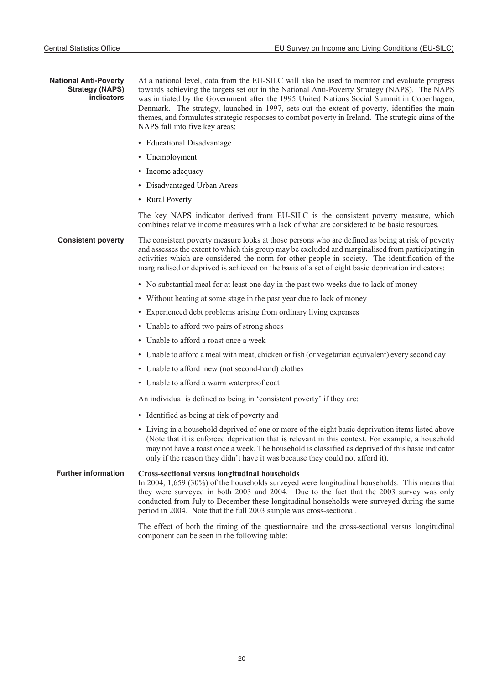#### **National Anti-Poverty Strategy (NAPS) indicators**

At a national level, data from the EU-SILC will also be used to monitor and evaluate progress towards achieving the targets set out in the National Anti-Poverty Strategy (NAPS). The NAPS was initiated by the Government after the 1995 United Nations Social Summit in Copenhagen, Denmark. The strategy, launched in 1997, sets out the extent of poverty, identifies the main themes, and formulates strategic responses to combat poverty in Ireland. The strategic aims of the NAPS fall into five key areas:

- Educational Disadvantage
- Unemployment
- Income adequacy
- Disadvantaged Urban Areas
- Rural Poverty

The key NAPS indicator derived from EU-SILC is the consistent poverty measure, which combines relative income measures with a lack of what are considered to be basic resources.

**Consistent poverty** The consistent poverty measure looks at those persons who are defined as being at risk of poverty and assesses the extent to which this group may be excluded and marginalised from participating in activities which are considered the norm for other people in society. The identification of the marginalised or deprived is achieved on the basis of a set of eight basic deprivation indicators:

- No substantial meal for at least one day in the past two weeks due to lack of money
- Without heating at some stage in the past year due to lack of money
- Experienced debt problems arising from ordinary living expenses
- Unable to afford two pairs of strong shoes
- Unable to afford a roast once a week
- Unable to afford a meal with meat, chicken or fish (or vegetarian equivalent) every second day
- Unable to afford new (not second-hand) clothes
- Unable to afford a warm waterproof coat

An individual is defined as being in 'consistent poverty' if they are:

- Identified as being at risk of poverty and
- Living in a household deprived of one or more of the eight basic deprivation items listed above (Note that it is enforced deprivation that is relevant in this context. For example, a household may not have a roast once a week. The household is classified as deprived of this basic indicator only if the reason they didn't have it was because they could not afford it).

#### **Further information Cross-sectional versus longitudinal households**

In 2004, 1,659 (30%) of the households surveyed were longitudinal households. This means that they were surveyed in both 2003 and 2004. Due to the fact that the 2003 survey was only conducted from July to December these longitudinal households were surveyed during the same period in 2004. Note that the full 2003 sample was cross-sectional.

The effect of both the timing of the questionnaire and the cross-sectional versus longitudinal component can be seen in the following table: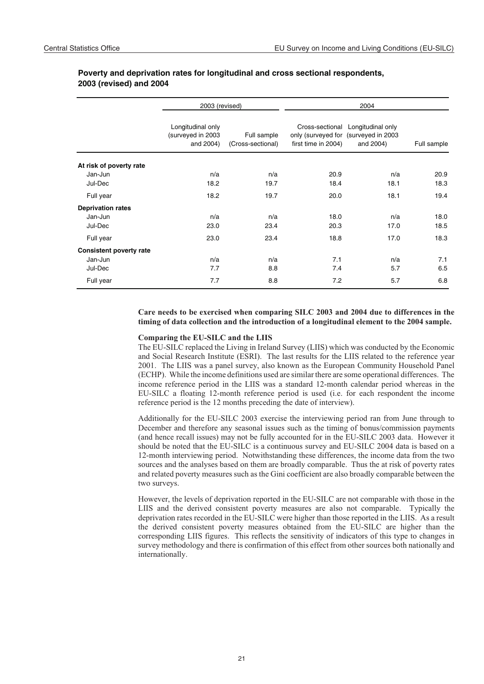|                                | 2003 (revised)                                      |                                  |                     | 2004                                                                                   |             |
|--------------------------------|-----------------------------------------------------|----------------------------------|---------------------|----------------------------------------------------------------------------------------|-------------|
|                                | Longitudinal only<br>(surveyed in 2003<br>and 2004) | Full sample<br>(Cross-sectional) | first time in 2004) | Cross-sectional Longitudinal only<br>only (surveyed for (surveyed in 2003<br>and 2004) | Full sample |
| At risk of poverty rate        |                                                     |                                  |                     |                                                                                        |             |
| Jan-Jun                        | n/a                                                 | n/a                              | 20.9                | n/a                                                                                    | 20.9        |
| Jul-Dec                        | 18.2                                                | 19.7                             | 18.4                | 18.1                                                                                   | 18.3        |
| Full year                      | 18.2                                                | 19.7                             | 20.0                | 18.1                                                                                   | 19.4        |
| <b>Deprivation rates</b>       |                                                     |                                  |                     |                                                                                        |             |
| Jan-Jun                        | n/a                                                 | n/a                              | 18.0                | n/a                                                                                    | 18.0        |
| Jul-Dec                        | 23.0                                                | 23.4                             | 20.3                | 17.0                                                                                   | 18.5        |
| Full year                      | 23.0                                                | 23.4                             | 18.8                | 17.0                                                                                   | 18.3        |
| <b>Consistent poverty rate</b> |                                                     |                                  |                     |                                                                                        |             |
| Jan-Jun                        | n/a                                                 | n/a                              | 7.1                 | n/a                                                                                    | 7.1         |
| Jul-Dec                        | 7.7                                                 | 8.8                              | 7.4                 | 5.7                                                                                    | 6.5         |
| Full year                      | 7.7                                                 | 8.8                              | 7.2                 | 5.7                                                                                    | 6.8         |

### **Poverty and deprivation rates for longitudinal and cross sectional respondents, 2003 (revised) and 2004**

#### **Care needs to be exercised when comparing SILC 2003 and 2004 due to differences in the timing of data collection and the introduction of a longitudinal element to the 2004 sample.**

#### **Comparing the EU-SILC and the LIIS**

The EU-SILC replaced the Living in Ireland Survey (LIIS) which was conducted by the Economic and Social Research Institute (ESRI). The last results for the LIIS related to the reference year 2001. The LIIS was a panel survey, also known as the European Community Household Panel (ECHP). While the income definitions used are similar there are some operational differences. The income reference period in the LIIS was a standard 12-month calendar period whereas in the EU-SILC a floating 12-month reference period is used (i.e. for each respondent the income reference period is the 12 months preceding the date of interview).

Additionally for the EU-SILC 2003 exercise the interviewing period ran from June through to December and therefore any seasonal issues such as the timing of bonus/commission payments (and hence recall issues) may not be fully accounted for in the EU-SILC 2003 data. However it should be noted that the EU-SILC is a continuous survey and EU-SILC 2004 data is based on a 12-month interviewing period. Notwithstanding these differences, the income data from the two sources and the analyses based on them are broadly comparable. Thus the at risk of poverty rates and related poverty measures such as the Gini coefficient are also broadly comparable between the two surveys.

However, the levels of deprivation reported in the EU-SILC are not comparable with those in the LIIS and the derived consistent poverty measures are also not comparable. Typically the deprivation rates recorded in the EU-SILC were higher than those reported in the LIIS. As a result the derived consistent poverty measures obtained from the EU-SILC are higher than the corresponding LIIS figures. This reflects the sensitivity of indicators of this type to changes in survey methodology and there is confirmation of this effect from other sources both nationally and internationally.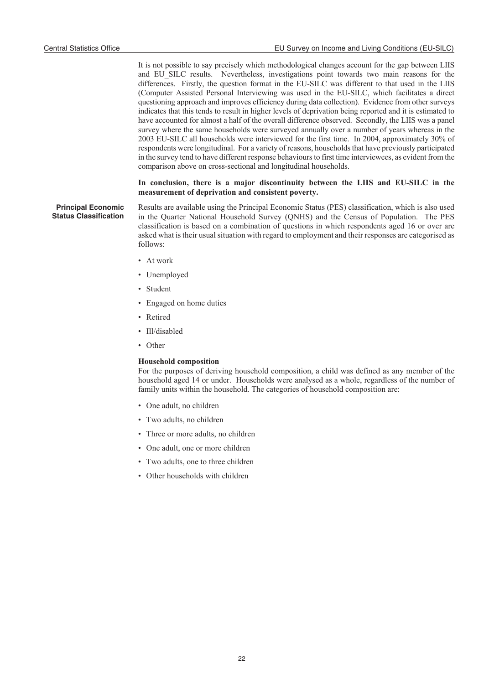It is not possible to say precisely which methodological changes account for the gap between LIIS and EU\_SILC results. Nevertheless, investigations point towards two main reasons for the differences. Firstly, the question format in the EU-SILC was different to that used in the LIIS (Computer Assisted Personal Interviewing was used in the EU-SILC, which facilitates a direct questioning approach and improves efficiency during data collection). Evidence from other surveys indicates that this tends to result in higher levels of deprivation being reported and it is estimated to have accounted for almost a half of the overall difference observed. Secondly, the LIIS was a panel survey where the same households were surveyed annually over a number of years whereas in the 2003 EU-SILC all households were interviewed for the first time. In 2004, approximately 30% of respondents were longitudinal. For a variety of reasons, households that have previously participated in the survey tend to have different response behaviours to first time interviewees, as evident from the comparison above on cross-sectional and longitudinal households.

#### **In conclusion, there is a major discontinuity between the LIIS and EU-SILC in the measurement of deprivation and consistent poverty.**

**Principal Economic Status Classification** Results are available using the Principal Economic Status (PES) classification, which is also used in the Quarter National Household Survey (QNHS) and the Census of Population. The PES classification is based on a combination of questions in which respondents aged 16 or over are asked what is their usual situation with regard to employment and their responses are categorised as follows:

- At work
- Unemployed
- Student
- Engaged on home duties
- Retired
- Ill/disabled
- Other

#### **Household composition**

For the purposes of deriving household composition, a child was defined as any member of the household aged 14 or under. Households were analysed as a whole, regardless of the number of family units within the household. The categories of household composition are:

- One adult, no children
- Two adults, no children
- Three or more adults, no children
- One adult, one or more children
- Two adults, one to three children
- Other households with children